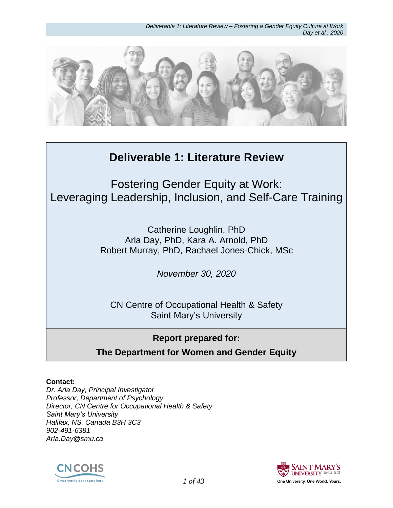*Deliverable 1: Literature Review – Fostering a Gender Equity Culture at Work Day et al., 2020*



# **Deliverable 1: Literature Review**

Fostering Gender Equity at Work: Leveraging Leadership, Inclusion, and Self-Care Training

> Catherine Loughlin, PhD Arla Day, PhD, Kara A. Arnold, PhD Robert Murray, PhD, Rachael Jones-Chick, MSc

> > *November 30, 2020*

CN Centre of Occupational Health & Safety Saint Mary's University

## **Report prepared for:**

**The Department for Women and Gender Equity**

#### **Contact:**

*Dr. Arla Day, Principal Investigator Professor, Department of Psychology Director, CN Centre for Occupational Health & Safety Saint Mary's University Halifax, NS. Canada B3H 3C3 902-491-6381 Arla.Day@smu.ca*



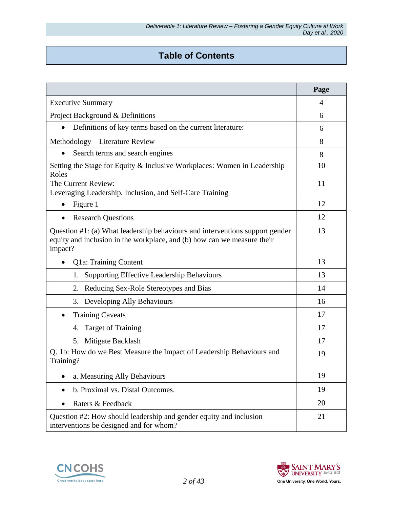# **Table of Contents**

|                                                                                                                                                                    | Page |
|--------------------------------------------------------------------------------------------------------------------------------------------------------------------|------|
| <b>Executive Summary</b>                                                                                                                                           | 4    |
| Project Background & Definitions                                                                                                                                   | 6    |
| Definitions of key terms based on the current literature:<br>$\bullet$                                                                                             | 6    |
| Methodology – Literature Review                                                                                                                                    | 8    |
| Search terms and search engines<br>$\bullet$                                                                                                                       | 8    |
| Setting the Stage for Equity & Inclusive Workplaces: Women in Leadership<br>Roles                                                                                  | 10   |
| The Current Review:<br>Leveraging Leadership, Inclusion, and Self-Care Training                                                                                    | 11   |
| Figure 1                                                                                                                                                           | 12   |
| <b>Research Questions</b>                                                                                                                                          | 12   |
| Question #1: (a) What leadership behaviours and interventions support gender<br>equity and inclusion in the workplace, and (b) how can we measure their<br>impact? |      |
| Q1a: Training Content<br>$\bullet$                                                                                                                                 | 13   |
| <b>Supporting Effective Leadership Behaviours</b><br>1.                                                                                                            | 13   |
| 2. Reducing Sex-Role Stereotypes and Bias                                                                                                                          | 14   |
| Developing Ally Behaviours<br>3.                                                                                                                                   | 16   |
| <b>Training Caveats</b><br>٠                                                                                                                                       | 17   |
| <b>Target of Training</b><br>4.                                                                                                                                    | 17   |
| Mitigate Backlash<br>5.                                                                                                                                            | 17   |
| Q. 1b: How do we Best Measure the Impact of Leadership Behaviours and<br>19<br>Training?                                                                           |      |
| a. Measuring Ally Behaviours<br>٠                                                                                                                                  | 19   |
| b. Proximal vs. Distal Outcomes.                                                                                                                                   | 19   |
| Raters & Feedback<br>$\bullet$                                                                                                                                     | 20   |
| Question #2: How should leadership and gender equity and inclusion<br>interventions be designed and for whom?                                                      | 21   |



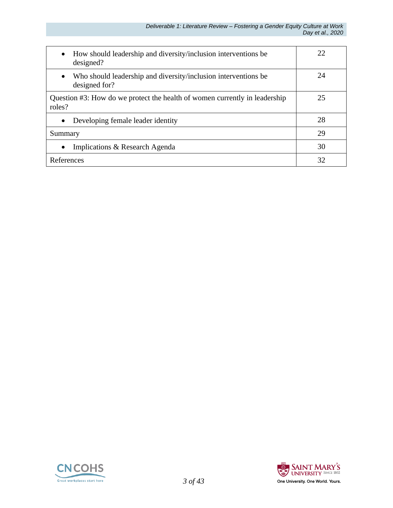| How should leadership and diversity/inclusion interventions be<br>$\bullet$<br>designed?     | 22 |
|----------------------------------------------------------------------------------------------|----|
| Who should leadership and diversity/inclusion interventions be<br>$\bullet$<br>designed for? | 24 |
| Question #3: How do we protect the health of women currently in leadership<br>roles?         | 25 |
| Developing female leader identity<br>$\bullet$                                               | 28 |
| Summary                                                                                      | 29 |
| Implications & Research Agenda<br>$\bullet$                                                  | 30 |
| References                                                                                   | 32 |



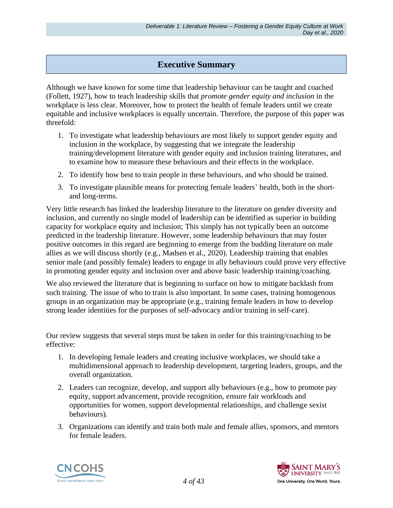### **Executive Summary**

Although we have known for some time that leadership behaviour can be taught and coached (Follett, 1927), how to teach leadership skills that *promote gender equity and inclusion* in the workplace is less clear. Moreover, how to protect the health of female leaders until we create equitable and inclusive workplaces is equally uncertain. Therefore, the purpose of this paper was threefold:

- 1. To investigate what leadership behaviours are most likely to support gender equity and inclusion in the workplace, by suggesting that we integrate the leadership training/development literature with gender equity and inclusion training literatures, and to examine how to measure these behaviours and their effects in the workplace.
- 2. To identify how best to train people in these behaviours, and who should be trained.
- 3. To investigate plausible means for protecting female leaders' health, both in the shortand long-terms.

Very little research has linked the leadership literature to the literature on gender diversity and inclusion, and currently no single model of leadership can be identified as superior in building capacity for workplace equity and inclusion; This simply has not typically been an outcome predicted in the leadership literature. However, some leadership behaviours that may foster positive outcomes in this regard are beginning to emerge from the budding literature on male allies as we will discuss shortly (e.g., Madsen et al., 2020). Leadership training that enables senior male (and possibly female) leaders to engage in ally behaviours could prove very effective in promoting gender equity and inclusion over and above basic leadership training/coaching.

We also reviewed the literature that is beginning to surface on how to mitigate backlash from such training. The issue of who to train is also important. In some cases, training homogenous groups in an organization may be appropriate (e.g., training female leaders in how to develop strong leader identities for the purposes of self-advocacy and/or training in self-care).

Our review suggests that several steps must be taken in order for this training/coaching to be effective:

- 1. In developing female leaders and creating inclusive workplaces, we should take a multidimensional approach to leadership development, targeting leaders, groups, and the overall organization.
- 2. Leaders can recognize, develop, and support ally behaviours (e.g., how to promote pay equity, support advancement, provide recognition, ensure fair workloads and opportunities for women, support developmental relationships, and challenge sexist behaviours).
- 3. Organizations can identify and train both male and female allies, sponsors, and mentors for female leaders.



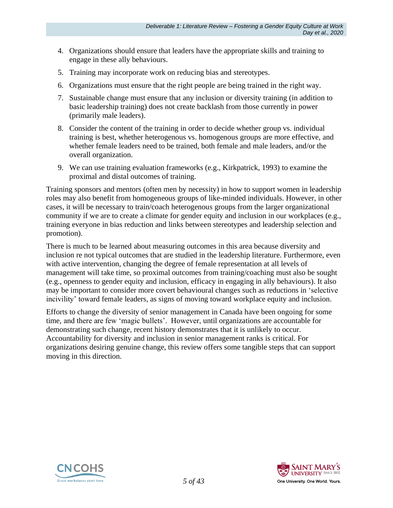- 4. Organizations should ensure that leaders have the appropriate skills and training to engage in these ally behaviours.
- 5. Training may incorporate work on reducing bias and stereotypes.
- 6. Organizations must ensure that the right people are being trained in the right way.
- 7. Sustainable change must ensure that any inclusion or diversity training (in addition to basic leadership training) does not create backlash from those currently in power (primarily male leaders).
- 8. Consider the content of the training in order to decide whether group vs. individual training is best, whether heterogenous vs. homogenous groups are more effective, and whether female leaders need to be trained, both female and male leaders, and/or the overall organization.
- 9. We can use training evaluation frameworks (e.g., Kirkpatrick, 1993) to examine the proximal and distal outcomes of training.

Training sponsors and mentors (often men by necessity) in how to support women in leadership roles may also benefit from homogeneous groups of like-minded individuals. However, in other cases, it will be necessary to train/coach heterogenous groups from the larger organizational community if we are to create a climate for gender equity and inclusion in our workplaces (e.g., training everyone in bias reduction and links between stereotypes and leadership selection and promotion).

There is much to be learned about measuring outcomes in this area because diversity and inclusion re not typical outcomes that are studied in the leadership literature. Furthermore, even with active intervention, changing the degree of female representation at all levels of management will take time, so proximal outcomes from training/coaching must also be sought (e.g., openness to gender equity and inclusion, efficacy in engaging in ally behaviours). It also may be important to consider more covert behavioural changes such as reductions in 'selective incivility' toward female leaders, as signs of moving toward workplace equity and inclusion.

Efforts to change the diversity of senior management in Canada have been ongoing for some time, and there are few 'magic bullets'. However, until organizations are accountable for demonstrating such change, recent history demonstrates that it is unlikely to occur. Accountability for diversity and inclusion in senior management ranks is critical. For organizations desiring genuine change, this review offers some tangible steps that can support moving in this direction.



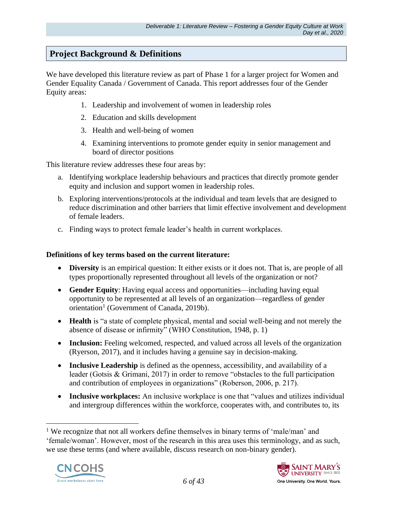## **Project Background & Definitions**

We have developed this literature review as part of Phase 1 for a larger project for Women and Gender Equality Canada / Government of Canada. This report addresses four of the Gender Equity areas:

- 1. Leadership and involvement of women in leadership roles
- 2. Education and skills development
- 3. Health and well-being of women
- 4. Examining interventions to promote gender equity in senior management and board of director positions

This literature review addresses these four areas by:

- a. Identifying workplace leadership behaviours and practices that directly promote gender equity and inclusion and support women in leadership roles.
- b. Exploring interventions/protocols at the individual and team levels that are designed to reduce discrimination and other barriers that limit effective involvement and development of female leaders.
- c. Finding ways to protect female leader's health in current workplaces.

#### **Definitions of key terms based on the current literature:**

- **Diversity** is an empirical question: It either exists or it does not. That is, are people of all types proportionally represented throughout all levels of the organization or not?
- **Gender Equity**: Having equal access and opportunities—including having equal opportunity to be represented at all levels of an organization—regardless of gender orientation<sup>1</sup> (Government of Canada, 2019b).
- **Health** is "a state of complete physical, mental and social well-being and not merely the absence of disease or infirmity" (WHO Constitution, 1948, p. 1)
- **Inclusion:** Feeling welcomed, respected, and valued across all levels of the organization (Ryerson, 2017), and it includes having a genuine say in decision-making.
- **Inclusive Leadership** is defined as the openness, accessibility, and availability of a leader (Gotsis & Grimani, 2017) in order to remove "obstacles to the full participation and contribution of employees in organizations" (Roberson, 2006, p. 217).
- **Inclusive workplaces:** An inclusive workplace is one that "values and utilizes individual and intergroup differences within the workforce, cooperates with, and contributes to, its

<sup>&</sup>lt;sup>1</sup> We recognize that not all workers define themselves in binary terms of 'male/man' and 'female/woman'. However, most of the research in this area uses this terminology, and as such, we use these terms (and where available, discuss research on non-binary gender).



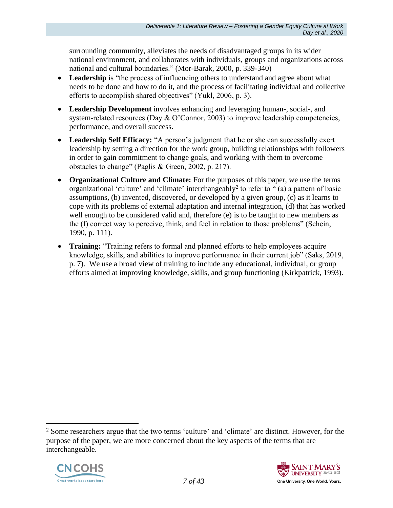surrounding community, alleviates the needs of disadvantaged groups in its wider national environment, and collaborates with individuals, groups and organizations across national and cultural boundaries." (Mor-Barak, 2000, p. 339-340)

- Leadership is "the process of influencing others to understand and agree about what needs to be done and how to do it, and the process of facilitating individual and collective efforts to accomplish shared objectives" (Yukl, 2006, p. 3).
- **Leadership Development** involves enhancing and leveraging human-, social-, and system-related resources (Day & O'Connor, 2003) to improve leadership competencies, performance, and overall success.
- Leadership Self Efficacy: "A person's judgment that he or she can successfully exert leadership by setting a direction for the work group, building relationships with followers in order to gain commitment to change goals, and working with them to overcome obstacles to change" (Paglis & Green, 2002, p. 217).
- **Organizational Culture and Climate:** For the purposes of this paper, we use the terms organizational 'culture' and 'climate' interchangeably<sup>2</sup> to refer to " $(a)$  a pattern of basic assumptions, (b) invented, discovered, or developed by a given group, (c) as it learns to cope with its problems of external adaptation and internal integration, (d) that has worked well enough to be considered valid and, therefore (e) is to be taught to new members as the (f) correct way to perceive, think, and feel in relation to those problems" (Schein, 1990, p. 111).
- **Training:** "Training refers to formal and planned efforts to help employees acquire knowledge, skills, and abilities to improve performance in their current job" (Saks, 2019, p. 7). We use a broad view of training to include any educational, individual, or group efforts aimed at improving knowledge, skills, and group functioning (Kirkpatrick, 1993).

<sup>&</sup>lt;sup>2</sup> Some researchers argue that the two terms 'culture' and 'climate' are distinct. However, for the purpose of the paper, we are more concerned about the key aspects of the terms that are interchangeable.



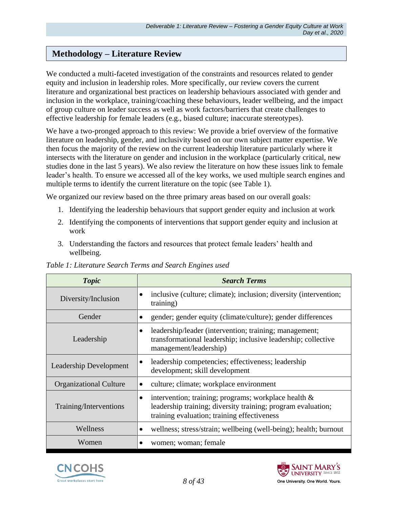## **Methodology – Literature Review**

We conducted a multi-faceted investigation of the constraints and resources related to gender equity and inclusion in leadership roles. More specifically, our review covers the current literature and organizational best practices on leadership behaviours associated with gender and inclusion in the workplace, training/coaching these behaviours, leader wellbeing, and the impact of group culture on leader success as well as work factors/barriers that create challenges to effective leadership for female leaders (e.g., biased culture; inaccurate stereotypes).

We have a two-pronged approach to this review: We provide a brief overview of the formative literature on leadership, gender, and inclusivity based on our own subject matter expertise. We then focus the majority of the review on the current leadership literature particularly where it intersects with the literature on gender and inclusion in the workplace (particularly critical, new studies done in the last 5 years). We also review the literature on how these issues link to female leader's health. To ensure we accessed all of the key works, we used multiple search engines and multiple terms to identify the current literature on the topic (see Table 1).

We organized our review based on the three primary areas based on our overall goals:

- 1. Identifying the leadership behaviours that support gender equity and inclusion at work
- 2. Identifying the components of interventions that support gender equity and inclusion at work
- 3. Understanding the factors and resources that protect female leaders' health and wellbeing.

| <b>Topic</b>                  | <b>Search Terms</b>                                                                                                                                                         |
|-------------------------------|-----------------------------------------------------------------------------------------------------------------------------------------------------------------------------|
| Diversity/Inclusion           | inclusive (culture; climate); inclusion; diversity (intervention;<br>$\bullet$<br>training)                                                                                 |
| Gender                        | gender; gender equity (climate/culture); gender differences                                                                                                                 |
| Leadership                    | leadership/leader (intervention; training; management;<br>$\bullet$<br>transformational leadership; inclusive leadership; collective<br>management/leadership)              |
| <b>Leadership Development</b> | leadership competencies; effectiveness; leadership<br>$\bullet$<br>development; skill development                                                                           |
| <b>Organizational Culture</b> | culture; climate; workplace environment                                                                                                                                     |
| Training/Interventions        | intervention; training; programs; workplace health $\&$<br>٠<br>leadership training; diversity training; program evaluation;<br>training evaluation; training effectiveness |
| Wellness                      | wellness; stress/strain; wellbeing (well-being); health; burnout                                                                                                            |
| Women                         | women; woman; female                                                                                                                                                        |

#### *Table 1: Literature Search Terms and Search Engines used*



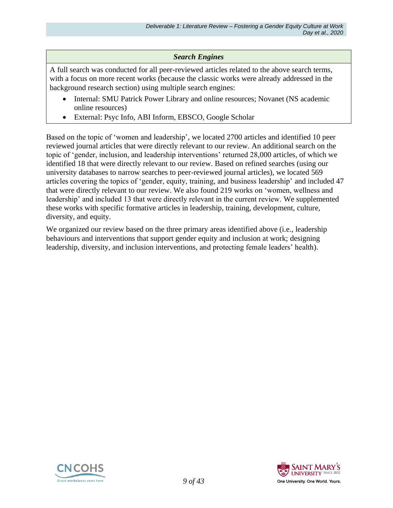#### *Search Engines*

A full search was conducted for all peer-reviewed articles related to the above search terms, with a focus on more recent works (because the classic works were already addressed in the background research section) using multiple search engines:

- Internal: SMU Patrick Power Library and online resources; Novanet (NS academic online resources)
- External: Psyc Info, ABI Inform, EBSCO, Google Scholar

Based on the topic of 'women and leadership', we located 2700 articles and identified 10 peer reviewed journal articles that were directly relevant to our review. An additional search on the topic of 'gender, inclusion, and leadership interventions' returned 28,000 articles, of which we identified 18 that were directly relevant to our review. Based on refined searches (using our university databases to narrow searches to peer-reviewed journal articles), we located 569 articles covering the topics of 'gender, equity, training, and business leadership' and included 47 that were directly relevant to our review. We also found 219 works on 'women, wellness and leadership' and included 13 that were directly relevant in the current review. We supplemented these works with specific formative articles in leadership, training, development, culture, diversity, and equity.

We organized our review based on the three primary areas identified above (i.e., leadership behaviours and interventions that support gender equity and inclusion at work; designing leadership, diversity, and inclusion interventions, and protecting female leaders' health).



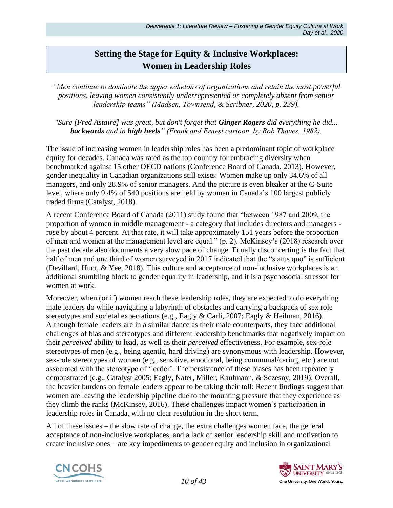## **Setting the Stage for Equity & Inclusive Workplaces: Women in Leadership Roles**

*"Men continue to dominate the upper echelons of organizations and retain the most powerful positions, leaving women consistently underrepresented or completely absent from senior leadership teams" (Madsen, Townsend, & Scribner, 2020, p. 239).*

*"Sure [Fred Astaire] was great, but don't forget that Ginger Rogers did everything he did... backwards and in high heels" (Frank and Ernest cartoon, by Bob Thaves, 1982).* 

The issue of increasing women in leadership roles has been a predominant topic of workplace equity for decades. Canada was rated as the top country for embracing diversity when benchmarked against 15 other OECD nations (Conference Board of Canada, 2013). However, gender inequality in Canadian organizations still exists: Women make up only 34.6% of all managers, and only 28.9% of senior managers. And the picture is even bleaker at the C-Suite level, where only 9.4% of 540 positions are held by women in Canada's 100 largest publicly traded firms (Catalyst, 2018).

A recent Conference Board of Canada (2011) study found that "between 1987 and 2009, the proportion of women in middle management - a category that includes directors and managers rose by about 4 percent. At that rate, it will take approximately 151 years before the proportion of men and women at the management level are equal." (p. 2). McKinsey's (2018) research over the past decade also documents a very slow pace of change. Equally disconcerting is the fact that half of men and one third of women surveyed in 2017 indicated that the "status quo" is sufficient (Devillard, Hunt, & Yee, 2018). This culture and acceptance of non-inclusive workplaces is an additional stumbling block to gender equality in leadership, and it is a psychosocial stressor for women at work.

Moreover, when (or if) women reach these leadership roles, they are expected to do everything male leaders do while navigating a labyrinth of obstacles and carrying a backpack of sex role stereotypes and societal expectations (e.g., Eagly & Carli, 2007; Eagly & Heilman, 2016). Although female leaders are in a similar dance as their male counterparts, they face additional challenges of bias and stereotypes and different leadership benchmarks that negatively impact on their *perceived* ability to lead, as well as their *perceived* effectiveness. For example, sex-role stereotypes of men (e.g., being agentic, hard driving) are synonymous with leadership. However, sex-role stereotypes of women (e.g., sensitive, emotional, being communal/caring, etc.) are not associated with the stereotype of 'leader'. The persistence of these biases has been repeatedly demonstrated (e.g., Catalyst 2005; Eagly, Nater, Miller, Kaufmann, & Sczesny, 2019). Overall, the heavier burdens on female leaders appear to be taking their toll: Recent findings suggest that women are leaving the leadership pipeline due to the mounting pressure that they experience as they climb the ranks (McKinsey, 2016). These challenges impact women's participation in leadership roles in Canada, with no clear resolution in the short term.

All of these issues – the slow rate of change, the extra challenges women face, the general acceptance of non-inclusive workplaces, and a lack of senior leadership skill and motivation to create inclusive ones – are key impediments to gender equity and inclusion in organizational



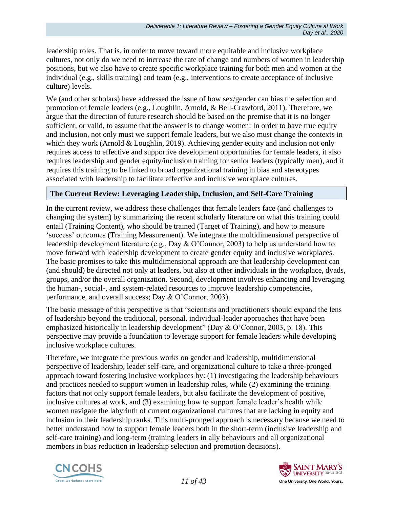leadership roles. That is, in order to move toward more equitable and inclusive workplace cultures, not only do we need to increase the rate of change and numbers of women in leadership positions, but we also have to create specific workplace training for both men and women at the individual (e.g., skills training) and team (e.g., interventions to create acceptance of inclusive culture) levels.

We (and other scholars) have addressed the issue of how sex/gender can bias the selection and promotion of female leaders (e.g., Loughlin, Arnold, & Bell-Crawford, 2011). Therefore, we argue that the direction of future research should be based on the premise that it is no longer sufficient, or valid, to assume that the answer is to change women: In order to have true equity and inclusion, not only must we support female leaders, but we also must change the contexts in which they work (Arnold & Loughlin, 2019). Achieving gender equity and inclusion not only requires access to effective and supportive development opportunities for female leaders, it also requires leadership and gender equity/inclusion training for senior leaders (typically men), and it requires this training to be linked to broad organizational training in bias and stereotypes associated with leadership to facilitate effective and inclusive workplace cultures.

#### **The Current Review: Leveraging Leadership, Inclusion, and Self-Care Training**

In the current review, we address these challenges that female leaders face (and challenges to changing the system) by summarizing the recent scholarly literature on what this training could entail (Training Content), who should be trained (Target of Training), and how to measure 'success' outcomes (Training Measurement). We integrate the multidimensional perspective of leadership development literature (e.g., Day & O'Connor, 2003) to help us understand how to move forward with leadership development to create gender equity and inclusive workplaces. The basic premises to take this multidimensional approach are that leadership development can (and should) be directed not only at leaders, but also at other individuals in the workplace, dyads, groups, and/or the overall organization. Second, development involves enhancing and leveraging the human-, social-, and system-related resources to improve leadership competencies, performance, and overall success; Day & O'Connor, 2003).

The basic message of this perspective is that "scientists and practitioners should expand the lens of leadership beyond the traditional, personal, individual-leader approaches that have been emphasized historically in leadership development" (Day & O'Connor, 2003, p. 18). This perspective may provide a foundation to leverage support for female leaders while developing inclusive workplace cultures.

Therefore, we integrate the previous works on gender and leadership, multidimensional perspective of leadership, leader self-care, and organizational culture to take a three-pronged approach toward fostering inclusive workplaces by: (1) investigating the leadership behaviours and practices needed to support women in leadership roles, while (2) examining the training factors that not only support female leaders, but also facilitate the development of positive, inclusive cultures at work, and (3) examining how to support female leader's health while women navigate the labyrinth of current organizational cultures that are lacking in equity and inclusion in their leadership ranks. This multi-pronged approach is necessary because we need to better understand how to support female leaders both in the short-term (inclusive leadership and self-care training) and long-term (training leaders in ally behaviours and all organizational members in bias reduction in leadership selection and promotion decisions).



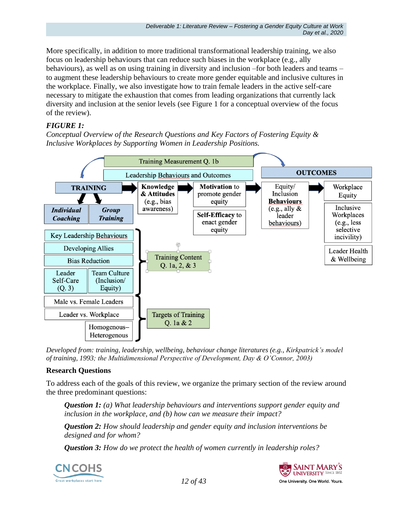More specifically, in addition to more traditional transformational leadership training, we also focus on leadership behaviours that can reduce such biases in the workplace (e.g., ally behaviours), as well as on using training in diversity and inclusion –for both leaders and teams – to augment these leadership behaviours to create more gender equitable and inclusive cultures in the workplace. Finally, we also investigate how to train female leaders in the active self-care necessary to mitigate the exhaustion that comes from leading organizations that currently lack diversity and inclusion at the senior levels (see Figure 1 for a conceptual overview of the focus of the review).

### *FIGURE 1:*

*Conceptual Overview of the Research Questions and Key Factors of Fostering Equity & Inclusive Workplaces by Supporting Women in Leadership Positions.*



*Developed from: training, leadership, wellbeing, behaviour change literatures (e.g., Kirkpatrick's model of training, 1993; the Multidimensional Perspective of Development, Day & O'Connor, 2003)* 

### **Research Questions**

To address each of the goals of this review, we organize the primary section of the review around the three predominant questions:

*Question 1: (a) What leadership behaviours and interventions support gender equity and inclusion in the workplace, and (b) how can we measure their impact?*

*Question 2: How should leadership and gender equity and inclusion interventions be designed and for whom?*

*Question 3: How do we protect the health of women currently in leadership roles?*



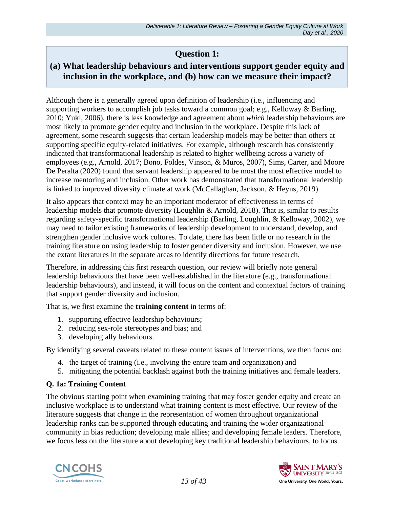# **Question 1:**

# **(a) What leadership behaviours and interventions support gender equity and inclusion in the workplace, and (b) how can we measure their impact?**

Although there is a generally agreed upon definition of leadership (i.e., influencing and supporting workers to accomplish job tasks toward a common goal; e.g., Kelloway & Barling, 2010; Yukl, 2006), there is less knowledge and agreement about *which* leadership behaviours are most likely to promote gender equity and inclusion in the workplace. Despite this lack of agreement, some research suggests that certain leadership models may be better than others at supporting specific equity-related initiatives. For example, although research has consistently indicated that transformational leadership is related to higher wellbeing across a variety of employees (e.g., Arnold, 2017; Bono, Foldes, Vinson, & Muros, 2007), Sims, Carter, and Moore De Peralta (2020) found that servant leadership appeared to be most the most effective model to increase mentoring and inclusion. Other work has demonstrated that transformational leadership is linked to improved diversity climate at work (McCallaghan, Jackson, & Heyns, 2019).

It also appears that context may be an important moderator of effectiveness in terms of leadership models that promote diversity (Loughlin & Arnold, 2018). That is, similar to results regarding safety-specific transformational leadership (Barling, Loughlin, & Kelloway, 2002), we may need to tailor existing frameworks of leadership development to understand, develop, and strengthen gender inclusive work cultures. To date, there has been little or no research in the training literature on using leadership to foster gender diversity and inclusion. However, we use the extant literatures in the separate areas to identify directions for future research.

Therefore, in addressing this first research question, our review will briefly note general leadership behaviours that have been well-established in the literature (e.g., transformational leadership behaviours), and instead, it will focus on the content and contextual factors of training that support gender diversity and inclusion.

That is, we first examine the **training content** in terms of:

- 1. supporting effective leadership behaviours;
- 2. reducing sex-role stereotypes and bias; and
- 3. developing ally behaviours.

By identifying several caveats related to these content issues of interventions, we then focus on:

- 4. the target of training (i.e., involving the entire team and organization) and
- 5. mitigating the potential backlash against both the training initiatives and female leaders.

### **Q. 1a: Training Content**

The obvious starting point when examining training that may foster gender equity and create an inclusive workplace is to understand what training content is most effective. Our review of the literature suggests that change in the representation of women throughout organizational leadership ranks can be supported through educating and training the wider organizational community in bias reduction; developing male allies; and developing female leaders. Therefore, we focus less on the literature about developing key traditional leadership behaviours, to focus



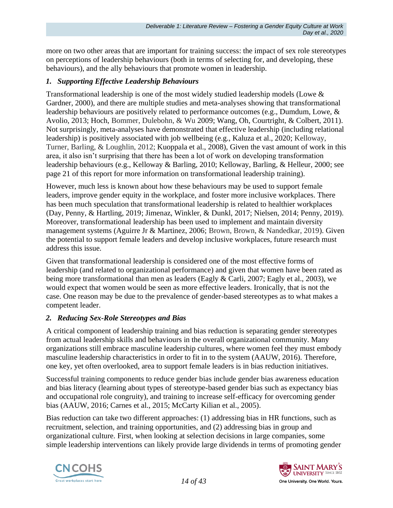more on two other areas that are important for training success: the impact of sex role stereotypes on perceptions of leadership behaviours (both in terms of selecting for, and developing, these behaviours), and the ally behaviours that promote women in leadership.

#### *1. Supporting Effective Leadership Behaviours*

Transformational leadership is one of the most widely studied leadership models (Lowe & Gardner, 2000), and there are multiple studies and meta-analyses showing that transformational leadership behaviours are positively related to performance outcomes (e.g., Dumdum, Lowe, & Avolio, 2013; Hoch, Bommer, Dulebohn, & Wu 2009; Wang, Oh, Courtright, & Colbert, 2011). Not surprisingly, meta-analyses have demonstrated that effective leadership (including relational leadership) is positively associated with job wellbeing (e.g., Kaluza et al., 2020; Kelloway, Turner, Barling, & Loughlin, 2012; Kuoppala et al., 2008), Given the vast amount of work in this area, it also isn't surprising that there has been a lot of work on developing transformation leadership behaviours (e.g., Kelloway & Barling, 2010; Kelloway, Barling, & Helleur, 2000; see page 21 of this report for more information on transformational leadership training).

However, much less is known about how these behaviours may be used to support female leaders, improve gender equity in the workplace, and foster more inclusive workplaces. There has been much speculation that transformational leadership is related to healthier workplaces (Day, Penny, & Hartling, 2019; Jimenaz, Winkler, & Dunkl, 2017; Nielsen, 2014; Penny, 2019). Moreover, transformational leadership has been used to implement and maintain diversity management systems (Aguirre Jr & Martinez, 2006; Brown, Brown, & Nandedkar, 2019). Given the potential to support female leaders and develop inclusive workplaces, future research must address this issue.

Given that transformational leadership is considered one of the most effective forms of leadership (and related to organizational performance) and given that women have been rated as being more transformational than men as leaders (Eagly & Carli, 2007; Eagly et al., 2003), we would expect that women would be seen as more effective leaders. Ironically, that is not the case. One reason may be due to the prevalence of gender-based stereotypes as to what makes a competent leader.

### *2. Reducing Sex-Role Stereotypes and Bias*

A critical component of leadership training and bias reduction is separating gender stereotypes from actual leadership skills and behaviours in the overall organizational community. Many organizations still embrace masculine leadership cultures, where women feel they must embody masculine leadership characteristics in order to fit in to the system (AAUW, 2016). Therefore, one key, yet often overlooked, area to support female leaders is in bias reduction initiatives.

Successful training components to reduce gender bias include gender bias awareness education and bias literacy (learning about types of stereotype-based gender bias such as expectancy bias and occupational role congruity), and training to increase self-efficacy for overcoming gender bias (AAUW, 2016; Carnes et al., 2015; McCarty Kilian et al., 2005).

Bias reduction can take two different approaches: (1) addressing bias in HR functions, such as recruitment, selection, and training opportunities, and (2) addressing bias in group and organizational culture. First, when looking at selection decisions in large companies, some simple leadership interventions can likely provide large dividends in terms of promoting gender



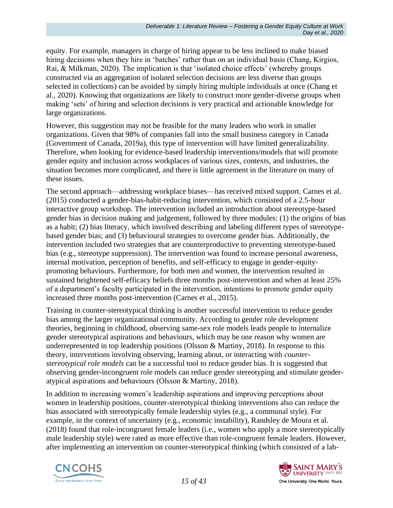equity. For example, managers in charge of hiring appear to be less inclined to make biased hiring decisions when they hire in 'batches' rather than on an individual basis (Chang, Kirgios, Rai, & Milkman, 2020). The implication is that 'isolated choice effects' (whereby groups constructed via an aggregation of isolated selection decisions are less diverse than groups selected in collections) can be avoided by simply hiring multiple individuals at once (Chang et al., 2020). Knowing that organizations are likely to construct more gender-diverse groups when making 'sets' of hiring and selection decisions is very practical and actionable knowledge for large organizations.

However, this suggestion may not be feasible for the many leaders who work in smaller organizations. Given that 98% of companies fall into the small business category in Canada (Government of Canada, 2019a), this type of intervention will have limited generalizability. Therefore, when looking for evidence-based leadership interventions/models that will promote gender equity and inclusion across workplaces of various sizes, contexts, and industries, the situation becomes more complicated, and there is little agreement in the literature on many of these issues.

The second approach—addressing workplace biases—has received mixed support. Carnes et al. (2015) conducted a gender-bias-habit-reducing intervention, which consisted of a 2.5-hour interactive group workshop. The intervention included an introduction about stereotype-based gender bias in decision making and judgement, followed by three modules: (1) the origins of bias as a habit; (2) bias literacy, which involved describing and labeling different types of stereotypebased gender bias; and (3) behavioural strategies to overcome gender bias. Additionally, the intervention included two strategies that are counterproductive to preventing stereotype-based bias (e.g., stereotype suppression). The intervention was found to increase personal awareness, internal motivation, perception of benefits, and self-efficacy to engage in gender-equitypromoting behaviours. Furthermore, for both men and women, the intervention resulted in sustained heightened self-efficacy beliefs three months post-intervention and when at least 25% of a department's faculty participated in the intervention, intentions to promote gender equity increased three months post-intervention (Carnes et al., 2015).

Training in counter-stereotypical thinking is another successful intervention to reduce gender bias among the larger organizational community. According to gender role development theories, beginning in childhood, observing same-sex role models leads people to internalize gender stereotypical aspirations and behaviours, which may be one reason why women are underrepresented in top leadership positions (Olsson & Martiny, 2018). In response to this theory, interventions involving observing, learning about, or interacting with *counterstereotypical role models* can be a successful tool to reduce gender bias. It is suggested that observing gender-incongruent role models can reduce gender stereotyping and stimulate genderatypical aspirations and behaviours (Olsson & Martiny, 2018).

In addition to increasing women's leadership aspirations and improving perceptions about women in leadership positions, counter-stereotypical thinking interventions also can reduce the bias associated with stereotypically female leadership styles (e.g., a communal style). For example, in the context of uncertainty (e.g., economic instability), Randsley de Moura et al. (2018) found that role-incongruent female leaders (i.e., women who apply a more stereotypically male leadership style) were rated as more effective than role-congruent female leaders. However, after implementing an intervention on counter-stereotypical thinking (which consisted of a lab-



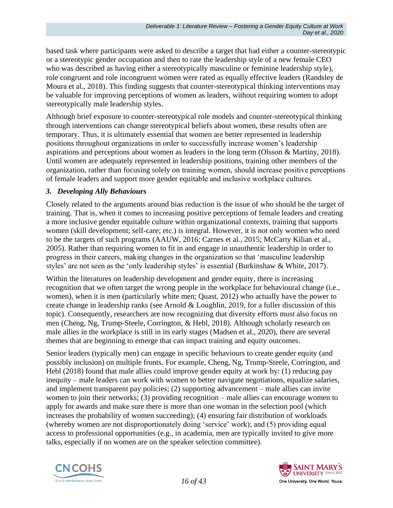based task where participants were asked to describe a target that had either a counter-stereotypic or a stereotypic gender occupation and then to rate the leadership style of a new female CEO who was described as having either a stereotypically masculine or feminine leadership style), role congruent and role incongruent women were rated as equally effective leaders (Randsley de Moura et al., 2018). This finding suggests that counter-stereotypical thinking interventions may be valuable for improving perceptions of women as leaders, without requiring women to adopt stereotypically male leadership styles.

Although brief exposure to counter-stereotypical role models and counter-stereotypical thinking through interventions can change stereotypical beliefs about women, these results often are temporary. Thus, it is ultimately essential that women are better represented in leadership positions throughout organizations in order to successfully increase women's leadership aspirations and perceptions about women as leaders in the long term (Olsson & Martiny, 2018). Until women are adequately represented in leadership positions, training other members of the organization, rather than focusing solely on training women, should increase positive perceptions of female leaders and support more gender equitable and inclusive workplace cultures.

#### *3. Developing Ally Behaviours*

Closely related to the arguments around bias reduction is the issue of who should be the target of training. That is, when it comes to increasing positive perceptions of female leaders and creating a more inclusive gender equitable culture within organizational contexts, training that supports women (skill development; self-care; etc.) is integral. However, it is not only women who need to be the targets of such programs (AAUW, 2016; Carnes et al., 2015; McCarty Kilian et al., 2005). Rather than requiring women to fit in and engage in unauthentic leadership in order to progress in their careers, making changes in the organization so that 'masculine leadership styles' are not seen as the 'only leadership styles' is essential (Burkinshaw & White, 2017).

Within the literatures on leadership development and gender equity, there is increasing recognition that we often target the wrong people in the workplace for behavioural change (i.e., women), when it is men (particularly white men; Quast, 2012) who actually have the power to create change in leadership ranks (see Arnold & Loughlin, 2019, for a fuller discussion of this topic). Consequently, researchers are now recognizing that diversity efforts must also focus on men (Cheng, Ng, Trump-Steele, Corrington, & Hebl, 2018). Although scholarly research on male allies in the workplace is still in its early stages (Madsen et al., 2020), there are several themes that are beginning to emerge that can impact training and equity outcomes.

Senior leaders (typically men) can engage in specific behaviours to create gender equity (and possibly inclusion) on multiple fronts. For example, Cheng, Ng, Trump-Steele, Corrington, and Hebl (2018) found that male allies could improve gender equity at work by: (1) reducing pay inequity – male leaders can work with women to better navigate negotiations, equalize salaries, and implement transparent pay policies; (2) supporting advancement – male allies can invite women to join their networks; (3) providing recognition – male allies can encourage women to apply for awards and make sure there is more than one woman in the selection pool (which increases the probability of women succeeding); (4) ensuring fair distribution of workloads (whereby women are not disproportionately doing 'service' work); and (5) providing equal access to professional opportunities (e.g., in academia, men are typically invited to give more talks, especially if no women are on the speaker selection committee).



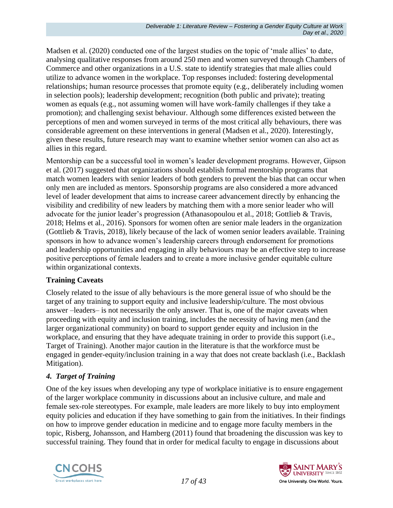Madsen et al. (2020) conducted one of the largest studies on the topic of 'male allies' to date, analysing qualitative responses from around 250 men and women surveyed through Chambers of Commerce and other organizations in a U.S. state to identify strategies that male allies could utilize to advance women in the workplace. Top responses included: fostering developmental relationships; human resource processes that promote equity (e.g., deliberately including women in selection pools); leadership development; recognition (both public and private); treating women as equals (e.g., not assuming women will have work-family challenges if they take a promotion); and challenging sexist behaviour. Although some differences existed between the perceptions of men and women surveyed in terms of the most critical ally behaviours, there was considerable agreement on these interventions in general (Madsen et al., 2020). Interestingly, given these results, future research may want to examine whether senior women can also act as allies in this regard.

Mentorship can be a successful tool in women's leader development programs. However, Gipson et al. (2017) suggested that organizations should establish formal mentorship programs that match women leaders with senior leaders of both genders to prevent the bias that can occur when only men are included as mentors. Sponsorship programs are also considered a more advanced level of leader development that aims to increase career advancement directly by enhancing the visibility and credibility of new leaders by matching them with a more senior leader who will advocate for the junior leader's progression (Athanasopoulou et al., 2018; Gottlieb & Travis, 2018; Helms et al., 2016). Sponsors for women often are senior male leaders in the organization (Gottlieb & Travis, 2018), likely because of the lack of women senior leaders available. Training sponsors in how to advance women's leadership careers through endorsement for promotions and leadership opportunities and engaging in ally behaviours may be an effective step to increase positive perceptions of female leaders and to create a more inclusive gender equitable culture within organizational contexts.

#### **Training Caveats**

Closely related to the issue of ally behaviours is the more general issue of who should be the target of any training to support equity and inclusive leadership/culture. The most obvious answer –leaders– is not necessarily the only answer. That is, one of the major caveats when proceeding with equity and inclusion training, includes the necessity of having men (and the larger organizational community) on board to support gender equity and inclusion in the workplace, and ensuring that they have adequate training in order to provide this support (i.e., Target of Training). Another major caution in the literature is that the workforce must be engaged in gender-equity/inclusion training in a way that does not create backlash (i.e., Backlash Mitigation).

### *4. Target of Training*

One of the key issues when developing any type of workplace initiative is to ensure engagement of the larger workplace community in discussions about an inclusive culture, and male and female sex-role stereotypes. For example, male leaders are more likely to buy into employment equity policies and education if they have something to gain from the initiatives. In their findings on how to improve gender education in medicine and to engage more faculty members in the topic, Risberg, Johansson, and Hamberg (2011) found that broadening the discussion was key to successful training. They found that in order for medical faculty to engage in discussions about



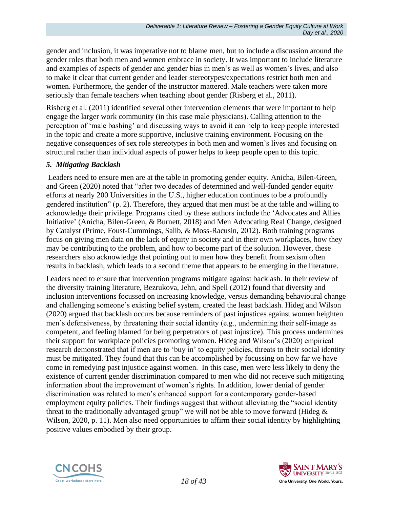gender and inclusion, it was imperative not to blame men, but to include a discussion around the gender roles that both men and women embrace in society. It was important to include literature and examples of aspects of gender and gender bias in men's as well as women's lives, and also to make it clear that current gender and leader stereotypes/expectations restrict both men and women. Furthermore, the gender of the instructor mattered. Male teachers were taken more seriously than female teachers when teaching about gender (Risberg et al., 2011).

Risberg et al. (2011) identified several other intervention elements that were important to help engage the larger work community (in this case male physicians). Calling attention to the perception of 'male bashing' and discussing ways to avoid it can help to keep people interested in the topic and create a more supportive, inclusive training environment. Focusing on the negative consequences of sex role stereotypes in both men and women's lives and focusing on structural rather than individual aspects of power helps to keep people open to this topic.

#### *5. Mitigating Backlash*

Leaders need to ensure men are at the table in promoting gender equity. Anicha, Bilen-Green, and Green (2020) noted that "after two decades of determined and well-funded gender equity efforts at nearly 200 Universities in the U.S., higher education continues to be a profoundly gendered institution" (p. 2). Therefore, they argued that men must be at the table and willing to acknowledge their privilege. Programs cited by these authors include the 'Advocates and Allies Initiative' (Anicha, Bilen-Green, & Burnett, 2018) and Men Advocating Real Change, designed by Catalyst (Prime, Foust-Cummings, Salib, & Moss-Racusin, 2012). Both training programs focus on giving men data on the lack of equity in society and in their own workplaces, how they may be contributing to the problem, and how to become part of the solution. However, these researchers also acknowledge that pointing out to men how they benefit from sexism often results in backlash, which leads to a second theme that appears to be emerging in the literature.

Leaders need to ensure that intervention programs mitigate against backlash. In their review of the diversity training literature, Bezrukova, Jehn, and Spell (2012) found that diversity and inclusion interventions focussed on increasing knowledge, versus demanding behavioural change and challenging someone's existing belief system, created the least backlash. Hideg and Wilson (2020) argued that backlash occurs because reminders of past injustices against women heighten men's defensiveness, by threatening their social identity (e.g., undermining their self-image as competent, and feeling blamed for being perpetrators of past injustice). This process undermines their support for workplace policies promoting women. Hideg and Wilson's (2020) empirical research demonstrated that if men are to 'buy in' to equity policies, threats to their social identity must be mitigated. They found that this can be accomplished by focussing on how far we have come in remedying past injustice against women. In this case, men were less likely to deny the existence of current gender discrimination compared to men who did not receive such mitigating information about the improvement of women's rights. In addition, lower denial of gender discrimination was related to men's enhanced support for a contemporary gender-based employment equity policies. Their findings suggest that without alleviating the "social identity threat to the traditionally advantaged group" we will not be able to move forward (Hideg  $\&$ Wilson, 2020, p. 11). Men also need opportunities to affirm their social identity by highlighting positive values embodied by their group.



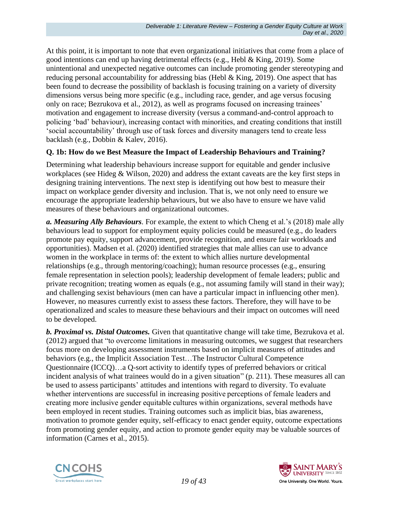At this point, it is important to note that even organizational initiatives that come from a place of good intentions can end up having detrimental effects (e.g., Hebl & King, 2019). Some unintentional and unexpected negative outcomes can include promoting gender stereotyping and reducing personal accountability for addressing bias (Hebl & King, 2019). One aspect that has been found to decrease the possibility of backlash is focusing training on a variety of diversity dimensions versus being more specific (e.g., including race, gender, and age versus focusing only on race; Bezrukova et al., 2012), as well as programs focused on increasing trainees' motivation and engagement to increase diversity (versus a command-and-control approach to policing 'bad' behaviour), increasing contact with minorities, and creating conditions that instill 'social accountability' through use of task forces and diversity managers tend to create less backlash (e.g., Dobbin & Kalev, 2016).

### **Q. 1b: How do we Best Measure the Impact of Leadership Behaviours and Training?**

Determining what leadership behaviours increase support for equitable and gender inclusive workplaces (see Hideg & Wilson, 2020) and address the extant caveats are the key first steps in designing training interventions. The next step is identifying out how best to measure their impact on workplace gender diversity and inclusion. That is, we not only need to ensure we encourage the appropriate leadership behaviours, but we also have to ensure we have valid measures of these behaviours and organizational outcomes.

*a. Measuring Ally Behaviours.* For example, the extent to which Cheng et al.'s (2018) male ally behaviours lead to support for employment equity policies could be measured (e.g., do leaders promote pay equity, support advancement, provide recognition, and ensure fair workloads and opportunities). Madsen et al. (2020) identified strategies that male allies can use to advance women in the workplace in terms of: the extent to which allies nurture developmental relationships (e.g., through mentoring/coaching); human resource processes (e.g., ensuring female representation in selection pools); leadership development of female leaders; public and private recognition; treating women as equals (e.g., not assuming family will stand in their way); and challenging sexist behaviours (men can have a particular impact in influencing other men). However, no measures currently exist to assess these factors. Therefore, they will have to be operationalized and scales to measure these behaviours and their impact on outcomes will need to be developed.

*b. Proximal vs. Distal Outcomes.* Given that quantitative change will take time, Bezrukova et al. (2012) argued that "to overcome limitations in measuring outcomes, we suggest that researchers focus more on developing assessment instruments based on implicit measures of attitudes and behaviors (e.g., the Implicit Association Test…The Instructor Cultural Competence Questionnaire (ICCQ)…a Q-sort activity to identify types of preferred behaviors or critical incident analysis of what trainees would do in a given situation" (p. 211). These measures all can be used to assess participants' attitudes and intentions with regard to diversity. To evaluate whether interventions are successful in increasing positive perceptions of female leaders and creating more inclusive gender equitable cultures within organizations, several methods have been employed in recent studies. Training outcomes such as implicit bias, bias awareness, motivation to promote gender equity, self-efficacy to enact gender equity, outcome expectations from promoting gender equity, and action to promote gender equity may be valuable sources of information (Carnes et al., 2015).



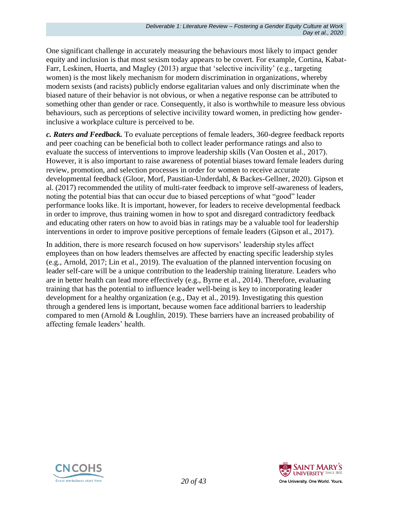One significant challenge in accurately measuring the behaviours most likely to impact gender equity and inclusion is that most sexism today appears to be covert. For example, Cortina, Kabat-Farr, Leskinen, Huerta, and Magley (2013) argue that 'selective incivility' (e.g., targeting women) is the most likely mechanism for modern discrimination in organizations, whereby modern sexists (and racists) publicly endorse egalitarian values and only discriminate when the biased nature of their behavior is not obvious, or when a negative response can be attributed to something other than gender or race. Consequently, it also is worthwhile to measure less obvious behaviours, such as perceptions of selective incivility toward women, in predicting how genderinclusive a workplace culture is perceived to be.

*c. Raters and Feedback.* To evaluate perceptions of female leaders, 360-degree feedback reports and peer coaching can be beneficial both to collect leader performance ratings and also to evaluate the success of interventions to improve leadership skills (Van Oosten et al., 2017). However, it is also important to raise awareness of potential biases toward female leaders during review, promotion, and selection processes in order for women to receive accurate developmental feedback (Gloor, Morf, Paustian-Underdahl, & Backes-Gellner, 2020). Gipson et al. (2017) recommended the utility of multi-rater feedback to improve self-awareness of leaders, noting the potential bias that can occur due to biased perceptions of what "good" leader performance looks like. It is important, however, for leaders to receive developmental feedback in order to improve, thus training women in how to spot and disregard contradictory feedback and educating other raters on how to avoid bias in ratings may be a valuable tool for leadership interventions in order to improve positive perceptions of female leaders (Gipson et al., 2017).

In addition, there is more research focused on how supervisors' leadership styles affect employees than on how leaders themselves are affected by enacting specific leadership styles (e.g., Arnold, 2017; Lin et al., 2019). The evaluation of the planned intervention focusing on leader self-care will be a unique contribution to the leadership training literature. Leaders who are in better health can lead more effectively (e.g., Byrne et al., 2014). Therefore, evaluating training that has the potential to influence leader well-being is key to incorporating leader development for a healthy organization (e.g., Day et al., 2019). Investigating this question through a gendered lens is important, because women face additional barriers to leadership compared to men (Arnold & Loughlin, 2019). These barriers have an increased probability of affecting female leaders' health.



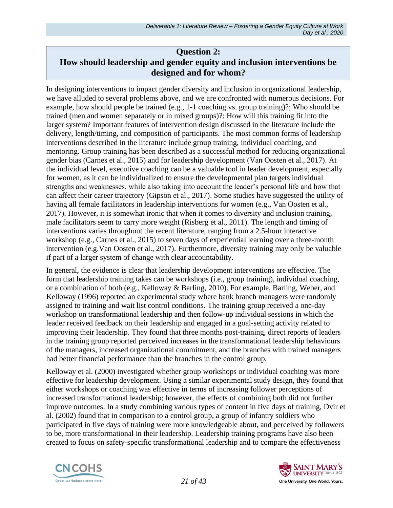## **Question 2: How should leadership and gender equity and inclusion interventions be designed and for whom?**

In designing interventions to impact gender diversity and inclusion in organizational leadership, we have alluded to several problems above, and we are confronted with numerous decisions. For example, how should people be trained (e.g.,  $1-1$  coaching vs. group training)?; Who should be trained (men and women separately or in mixed groups)?; How will this training fit into the larger system? Important features of intervention design discussed in the literature include the delivery, length/timing, and composition of participants. The most common forms of leadership interventions described in the literature include group training, individual coaching, and mentoring. Group training has been described as a successful method for reducing organizational gender bias (Carnes et al., 2015) and for leadership development (Van Oosten et al., 2017). At the individual level, executive coaching can be a valuable tool in leader development, especially for women, as it can be individualized to ensure the developmental plan targets individual strengths and weaknesses, while also taking into account the leader's personal life and how that can affect their career trajectory (Gipson et al., 2017). Some studies have suggested the utility of having all female facilitators in leadership interventions for women (e.g., Van Oosten et al., 2017). However, it is somewhat ironic that when it comes to diversity and inclusion training, male facilitators seem to carry more weight (Risberg et al., 2011). The length and timing of interventions varies throughout the recent literature, ranging from a 2.5-hour interactive workshop (e.g., Carnes et al., 2015) to seven days of experiential learning over a three-month intervention (e.g.Van Oosten et al., 2017). Furthermore, diversity training may only be valuable if part of a larger system of change with clear accountability.

In general, the evidence is clear that leadership development interventions are effective. The form that leadership training takes can be workshops (i.e., group training), individual coaching, or a combination of both (e.g., Kelloway & Barling, 2010). For example, Barling, Weber, and Kelloway (1996) reported an experimental study where bank branch managers were randomly assigned to training and wait list control conditions. The training group received a one-day workshop on transformational leadership and then follow-up individual sessions in which the leader received feedback on their leadership and engaged in a goal-setting activity related to improving their leadership. They found that three months post-training, direct reports of leaders in the training group reported perceived increases in the transformational leadership behaviours of the managers, increased organizational commitment, and the branches with trained managers had better financial performance than the branches in the control group.

Kelloway et al. (2000) investigated whether group workshops or individual coaching was more effective for leadership development. Using a similar experimental study design, they found that either workshops or coaching was effective in terms of increasing follower perceptions of increased transformational leadership; however, the effects of combining both did not further improve outcomes. In a study combining various types of content in five days of training, Dvir et al. (2002) found that in comparison to a control group, a group of infantry soldiers who participated in five days of training were more knowledgeable about, and perceived by followers to be, more transformational in their leadership. Leadership training programs have also been created to focus on safety-specific transformational leadership and to compare the effectiveness



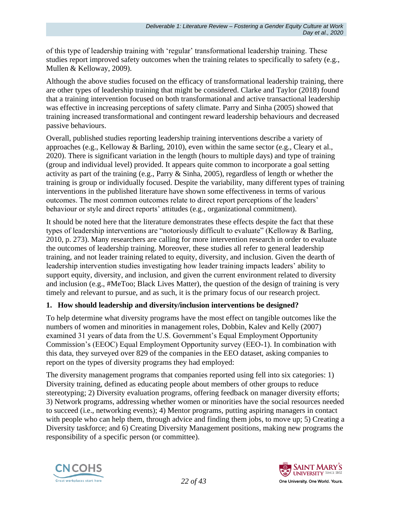of this type of leadership training with 'regular' transformational leadership training. These studies report improved safety outcomes when the training relates to specifically to safety (e.g., Mullen & Kelloway, 2009).

Although the above studies focused on the efficacy of transformational leadership training, there are other types of leadership training that might be considered. Clarke and Taylor (2018) found that a training intervention focused on both transformational and active transactional leadership was effective in increasing perceptions of safety climate. Parry and Sinha (2005) showed that training increased transformational and contingent reward leadership behaviours and decreased passive behaviours.

Overall, published studies reporting leadership training interventions describe a variety of approaches (e.g., Kelloway & Barling, 2010), even within the same sector (e.g., Cleary et al., 2020). There is significant variation in the length (hours to multiple days) and type of training (group and individual level) provided. It appears quite common to incorporate a goal setting activity as part of the training (e.g., Parry & Sinha, 2005), regardless of length or whether the training is group or individually focused. Despite the variability, many different types of training interventions in the published literature have shown some effectiveness in terms of various outcomes. The most common outcomes relate to direct report perceptions of the leaders' behaviour or style and direct reports' attitudes (e.g., organizational commitment).

It should be noted here that the literature demonstrates these effects despite the fact that these types of leadership interventions are "notoriously difficult to evaluate" (Kelloway & Barling, 2010, p. 273). Many researchers are calling for more intervention research in order to evaluate the outcomes of leadership training. Moreover, these studies all refer to general leadership training, and not leader training related to equity, diversity, and inclusion. Given the dearth of leadership intervention studies investigating how leader training impacts leaders' ability to support equity, diversity, and inclusion, and given the current environment related to diversity and inclusion (e.g., #MeToo; Black Lives Matter), the question of the design of training is very timely and relevant to pursue, and as such, it is the primary focus of our research project.

### **1. How should leadership and diversity/inclusion interventions be designed?**

To help determine what diversity programs have the most effect on tangible outcomes like the numbers of women and minorities in management roles, Dobbin, Kalev and Kelly (2007) examined 31 years of data from the U.S. Government's Equal Employment Opportunity Commission's (EEOC) Equal Employment Opportunity survey (EEO-1). In combination with this data, they surveyed over 829 of the companies in the EEO dataset, asking companies to report on the types of diversity programs they had employed:

The diversity management programs that companies reported using fell into six categories: 1) Diversity training, defined as educating people about members of other groups to reduce stereotyping; 2) Diversity evaluation programs, offering feedback on manager diversity efforts; 3) Network programs, addressing whether women or minorities have the social resources needed to succeed (i.e., networking events); 4) Mentor programs, putting aspiring managers in contact with people who can help them, through advice and finding them jobs, to move up; 5) Creating a Diversity taskforce; and 6) Creating Diversity Management positions, making new programs the responsibility of a specific person (or committee).



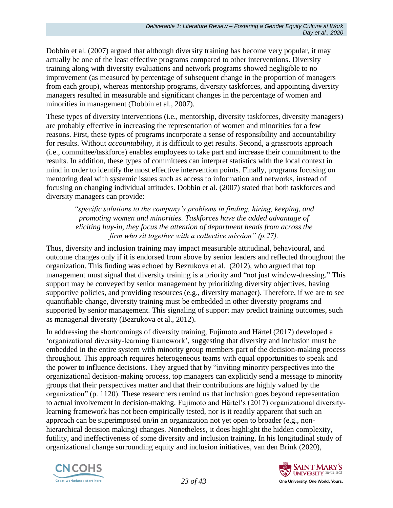Dobbin et al. (2007) argued that although diversity training has become very popular, it may actually be one of the least effective programs compared to other interventions. Diversity training along with diversity evaluations and network programs showed negligible to no improvement (as measured by percentage of subsequent change in the proportion of managers from each group), whereas mentorship programs, diversity taskforces, and appointing diversity managers resulted in measurable and significant changes in the percentage of women and minorities in management (Dobbin et al., 2007).

These types of diversity interventions (i.e., mentorship, diversity taskforces, diversity managers) are probably effective in increasing the representation of women and minorities for a few reasons. First, these types of programs incorporate a sense of responsibility and accountability for results. Without *accountability*, it is difficult to get results. Second, a grassroots approach (i.e., committee/taskforce) enables employees to take part and increase their commitment to the results. In addition, these types of committees can interpret statistics with the local context in mind in order to identify the most effective intervention points. Finally, programs focusing on mentoring deal with systemic issues such as access to information and networks, instead of focusing on changing individual attitudes. Dobbin et al. (2007) stated that both taskforces and diversity managers can provide:

*"specific solutions to the company's problems in finding, hiring, keeping, and promoting women and minorities. Taskforces have the added advantage of eliciting buy-in, they focus the attention of department heads from across the firm who sit together with a collective mission" (p.27).*

Thus, diversity and inclusion training may impact measurable attitudinal, behavioural, and outcome changes only if it is endorsed from above by senior leaders and reflected throughout the organization. This finding was echoed by Bezrukova et al. (2012), who argued that top management must signal that diversity training is a priority and "not just window-dressing." This support may be conveyed by senior management by prioritizing diversity objectives, having supportive policies, and providing resources (e.g., diversity manager). Therefore, if we are to see quantifiable change, diversity training must be embedded in other diversity programs and supported by senior management. This signaling of support may predict training outcomes, such as managerial diversity (Bezrukova et al., 2012).

In addressing the shortcomings of diversity training, Fujimoto and Härtel (2017) developed a 'organizational diversity-learning framework', suggesting that diversity and inclusion must be embedded in the entire system with minority group members part of the decision-making process throughout. This approach requires heterogeneous teams with equal opportunities to speak and the power to influence decisions. They argued that by "inviting minority perspectives into the organizational decision-making process, top managers can explicitly send a message to minority groups that their perspectives matter and that their contributions are highly valued by the organization" (p. 1120). These researchers remind us that inclusion goes beyond representation to actual involvement in decision-making. Fujimoto and Härtel's (2017) organizational diversitylearning framework has not been empirically tested, nor is it readily apparent that such an approach can be superimposed on/in an organization not yet open to broader (e.g., nonhierarchical decision making) changes. Nonetheless, it does highlight the hidden complexity, futility, and ineffectiveness of some diversity and inclusion training. In his longitudinal study of organizational change surrounding equity and inclusion initiatives, van den Brink (2020),



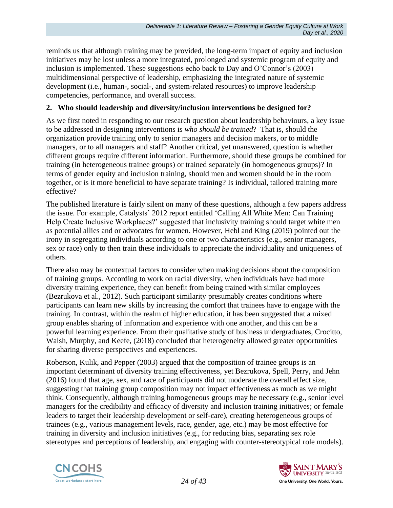reminds us that although training may be provided, the long-term impact of equity and inclusion initiatives may be lost unless a more integrated, prolonged and systemic program of equity and inclusion is implemented. These suggestions echo back to Day and O'Connor's (2003) multidimensional perspective of leadership, emphasizing the integrated nature of systemic development (i.e., human-, social-, and system-related resources) to improve leadership competencies, performance, and overall success.

#### **2. Who should leadership and diversity/inclusion interventions be designed for?**

As we first noted in responding to our research question about leadership behaviours, a key issue to be addressed in designing interventions is *who should be trained*? That is, should the organization provide training only to senior managers and decision makers, or to middle managers, or to all managers and staff? Another critical, yet unanswered, question is whether different groups require different information. Furthermore, should these groups be combined for training (in heterogeneous trainee groups) or trained separately (in homogeneous groups)? In terms of gender equity and inclusion training, should men and women should be in the room together, or is it more beneficial to have separate training? Is individual, tailored training more effective?

The published literature is fairly silent on many of these questions, although a few papers address the issue. For example, Catalysts' 2012 report entitled 'Calling All White Men: Can Training Help Create Inclusive Workplaces?' suggested that inclusivity training should target white men as potential allies and or advocates for women. However, Hebl and King (2019) pointed out the irony in segregating individuals according to one or two characteristics (e.g., senior managers, sex or race) only to then train these individuals to appreciate the individuality and uniqueness of others.

There also may be contextual factors to consider when making decisions about the composition of training groups. According to work on racial diversity, when individuals have had more diversity training experience, they can benefit from being trained with similar employees (Bezrukova et al., 2012). Such participant similarity presumably creates conditions where participants can learn new skills by increasing the comfort that trainees have to engage with the training. In contrast, within the realm of higher education, it has been suggested that a mixed group enables sharing of information and experience with one another, and this can be a powerful learning experience. From their qualitative study of business undergraduates, Crocitto, Walsh, Murphy, and Keefe, (2018) concluded that heterogeneity allowed greater opportunities for sharing diverse perspectives and experiences.

Roberson, Kulik, and Pepper (2003) argued that the composition of trainee groups is an important determinant of diversity training effectiveness, yet Bezrukova, Spell, Perry, and Jehn (2016) found that age, sex, and race of participants did not moderate the overall effect size, suggesting that training group composition may not impact effectiveness as much as we might think. Consequently, although training homogeneous groups may be necessary (e.g., senior level managers for the credibility and efficacy of diversity and inclusion training initiatives; or female leaders to target their leadership development or self-care), creating heterogeneous groups of trainees (e.g., various management levels, race, gender, age, etc.) may be most effective for training in diversity and inclusion initiatives (e.g., for reducing bias, separating sex role stereotypes and perceptions of leadership, and engaging with counter-stereotypical role models).



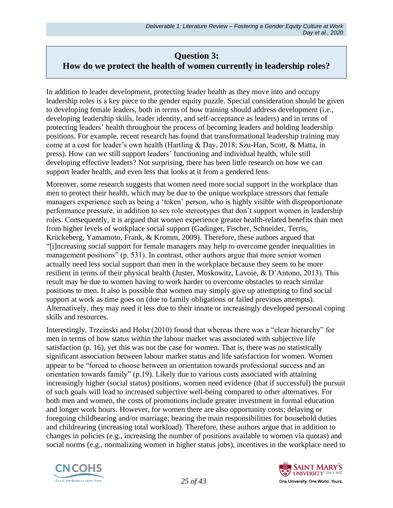## **Question 3: How do we protect the health of women currently in leadership roles?**

In addition to leader development, protecting leader health as they move into and occupy leadership roles is a key piece to the gender equity puzzle. Special consideration should be given to developing female leaders, both in terms of how training should address development (i.e., developing leadership skills, leader identity, and self-acceptance as leaders) and in terms of protecting leaders' health throughout the process of becoming leaders and holding leadership positions. For example, recent research has found that transformational leadership training may come at a cost for leader's own health (Hartling & Day, 2018; Szu-Han, Scott, & Matta, in press). How can we still support leaders' functioning and individual health, while still developing effective leaders? Not surprising, there has been little research on how we can support leader health, and even less that looks at it from a gendered lens.

Moreover, some research suggests that women need more social support in the workplace than men to protect their health, which may be due to the unique workplace stressors that female managers experience such as being a 'token' person, who is highly visible with disproportionate performance pressure, in addition to sex role stereotypes that don't support women in leadership roles. Consequently, it is argued that women experience greater health-related benefits than men from higher levels of workplace social support (Gadinger, Fischer, Schneider, Terris, Krückeberg, Yamamoto, Frank, & Kromm, 2009). Therefore, these authors argued that "[i]ncreasing social support for female managers may help to overcome gender inequalities in management positions" (p. 531). In contrast, other authors argue that more senior women actually need less social support than men in the workplace because they seem to be more resilient in terms of their physical health (Juster, Moskowitz, Lavoie, & D'Antono, 2013). This result may be due to women having to work harder to overcome obstacles to reach similar positions to men. It also is possible that women may simply give up attempting to find social support at work as time goes on (due to family obligations or failed previous attempts). Alternatively, they may need it less due to their innate or increasingly developed personal coping skills and resources.

Interestingly, Trzcinski and Holst (2010) found that whereas there was a "clear hierarchy" for men in terms of how status within the labour market was associated with subjective life satisfaction (p. 16), yet this was not the case for women. That is, there was no statistically significant association between labour market status and life satisfaction for women. Women appear to be "forced to choose between an orientation towards professional success and an orientation towards family" (p.19). Likely due to various costs associated with attaining increasingly higher (social status) positions, women need evidence (that if successful) the pursuit of such goals will lead to increased subjective well-being compared to other alternatives. For both men and women, the costs of promotions include greater investment in formal education and longer work hours. However, for women there are also opportunity costs; delaying or foregoing childbearing and/or marriage; bearing the main responsibilities for household duties and childrearing (increasing total workload). Therefore, these authors argue that in addition to changes in policies (e.g., increasing the number of positions available to women via quotas) and social norms (e.g., normalizing women in higher status jobs), incentives in the workplace need to



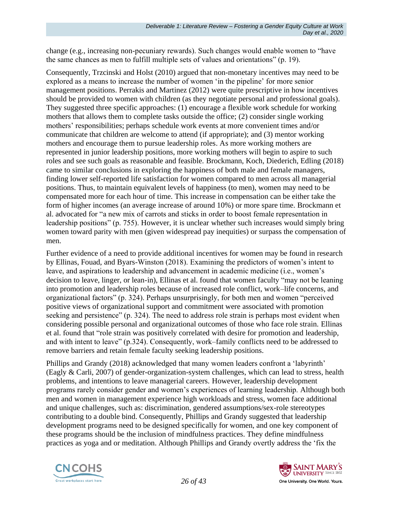change (e.g., increasing non-pecuniary rewards). Such changes would enable women to "have the same chances as men to fulfill multiple sets of values and orientations" (p. 19).

Consequently, Trzcinski and Holst (2010) argued that non-monetary incentives may need to be explored as a means to increase the number of women 'in the pipeline' for more senior management positions. Perrakis and Martinez (2012) were quite prescriptive in how incentives should be provided to women with children (as they negotiate personal and professional goals). They suggested three specific approaches: (1) encourage a flexible work schedule for working mothers that allows them to complete tasks outside the office; (2) consider single working mothers' responsibilities; perhaps schedule work events at more convenient times and/or communicate that children are welcome to attend (if appropriate); and (3) mentor working mothers and encourage them to pursue leadership roles. As more working mothers are represented in junior leadership positions, more working mothers will begin to aspire to such roles and see such goals as reasonable and feasible. Brockmann, Koch, Diederich, Edling (2018) came to similar conclusions in exploring the happiness of both male and female managers, finding lower self-reported life satisfaction for women compared to men across all managerial positions. Thus, to maintain equivalent levels of happiness (to men), women may need to be compensated more for each hour of time. This increase in compensation can be either take the form of higher incomes (an average increase of around 10%) or more spare time. Brockmann et al. advocated for "a new mix of carrots and sticks in order to boost female representation in leadership positions" (p. 755). However, it is unclear whether such increases would simply bring women toward parity with men (given widespread pay inequities) or surpass the compensation of men.

Further evidence of a need to provide additional incentives for women may be found in research by Ellinas, Fouad, and Byars-Winston (2018). Examining the predictors of women's intent to leave, and aspirations to leadership and advancement in academic medicine (i.e., women's decision to leave, linger, or lean-in), Ellinas et al. found that women faculty "may not be leaning into promotion and leadership roles because of increased role conflict, work–life concerns, and organizational factors" (p. 324). Perhaps unsurprisingly, for both men and women "perceived positive views of organizational support and commitment were associated with promotion seeking and persistence" (p. 324). The need to address role strain is perhaps most evident when considering possible personal and organizational outcomes of those who face role strain. Ellinas et al. found that "role strain was positively correlated with desire for promotion and leadership, and with intent to leave" (p.324). Consequently, work–family conflicts need to be addressed to remove barriers and retain female faculty seeking leadership positions.

Phillips and Grandy (2018) acknowledged that many women leaders confront a 'labyrinth' (Eagly & Carli, 2007) of gender-organization-system challenges, which can lead to stress, health problems, and intentions to leave managerial careers. However, leadership development programs rarely consider gender and women's experiences of learning leadership. Although both men and women in management experience high workloads and stress, women face additional and unique challenges, such as: discrimination, gendered assumptions/sex-role stereotypes contributing to a double bind. Consequently, Phillips and Grandy suggested that leadership development programs need to be designed specifically for women, and one key component of these programs should be the inclusion of mindfulness practices. They define mindfulness practices as yoga and or meditation. Although Phillips and Grandy overtly address the 'fix the



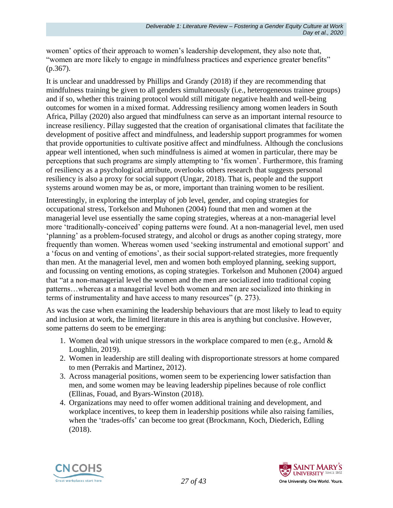women' optics of their approach to women's leadership development, they also note that, "women are more likely to engage in mindfulness practices and experience greater benefits" (p.367).

It is unclear and unaddressed by Phillips and Grandy (2018) if they are recommending that mindfulness training be given to all genders simultaneously (i.e., heterogeneous trainee groups) and if so, whether this training protocol would still mitigate negative health and well-being outcomes for women in a mixed format. Addressing resiliency among women leaders in South Africa, Pillay (2020) also argued that mindfulness can serve as an important internal resource to increase resiliency. Pillay suggested that the creation of organisational climates that facilitate the development of positive affect and mindfulness, and leadership support programmes for women that provide opportunities to cultivate positive affect and mindfulness. Although the conclusions appear well intentioned, when such mindfulness is aimed at women in particular, there may be perceptions that such programs are simply attempting to 'fix women'. Furthermore, this framing of resiliency as a psychological attribute, overlooks others research that suggests personal resiliency is also a proxy for social support (Ungar, 2018). That is, people and the support systems around women may be as, or more, important than training women to be resilient.

Interestingly, in exploring the interplay of job level, gender, and coping strategies for occupational stress, Torkelson and Muhonen (2004) found that men and women at the managerial level use essentially the same coping strategies, whereas at a non-managerial level more 'traditionally-conceived' coping patterns were found. At a non-managerial level, men used 'planning' as a problem-focused strategy, and alcohol or drugs as another coping strategy, more frequently than women. Whereas women used 'seeking instrumental and emotional support' and a 'focus on and venting of emotions', as their social support-related strategies, more frequently than men. At the managerial level, men and women both employed planning, seeking support, and focussing on venting emotions, as coping strategies. Torkelson and Muhonen (2004) argued that "at a non-managerial level the women and the men are socialized into traditional coping patterns…whereas at a managerial level both women and men are socialized into thinking in terms of instrumentality and have access to many resources" (p. 273).

As was the case when examining the leadership behaviours that are most likely to lead to equity and inclusion at work, the limited literature in this area is anything but conclusive. However, some patterns do seem to be emerging:

- 1. Women deal with unique stressors in the workplace compared to men (e.g., Arnold & Loughlin, 2019).
- 2. Women in leadership are still dealing with disproportionate stressors at home compared to men (Perrakis and Martinez, 2012).
- 3. Across managerial positions, women seem to be experiencing lower satisfaction than men, and some women may be leaving leadership pipelines because of role conflict (Ellinas, Fouad, and Byars-Winston (2018).
- 4. Organizations may need to offer women additional training and development, and workplace incentives, to keep them in leadership positions while also raising families, when the 'trades-offs' can become too great (Brockmann, Koch, Diederich, Edling (2018).



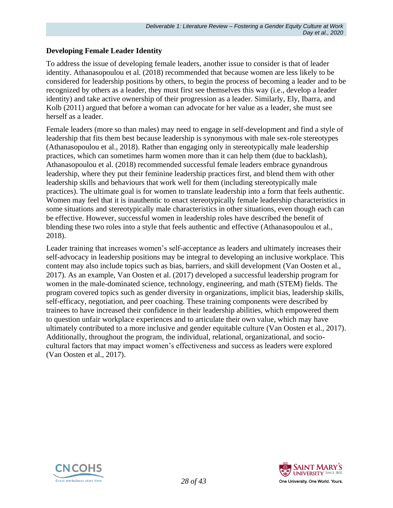#### **Developing Female Leader Identity**

To address the issue of developing female leaders, another issue to consider is that of leader identity. Athanasopoulou et al. (2018) recommended that because women are less likely to be considered for leadership positions by others, to begin the process of becoming a leader and to be recognized by others as a leader, they must first see themselves this way (i.e., develop a leader identity) and take active ownership of their progression as a leader. Similarly, Ely, Ibarra, and Kolb (2011) argued that before a woman can advocate for her value as a leader, she must see herself as a leader.

Female leaders (more so than males) may need to engage in self-development and find a style of leadership that fits them best because leadership is synonymous with male sex-role stereotypes (Athanasopoulou et al., 2018). Rather than engaging only in stereotypically male leadership practices, which can sometimes harm women more than it can help them (due to backlash), Athanasopoulou et al. (2018) recommended successful female leaders embrace gynandrous leadership, where they put their feminine leadership practices first, and blend them with other leadership skills and behaviours that work well for them (including stereotypically male practices). The ultimate goal is for women to translate leadership into a form that feels authentic. Women may feel that it is inauthentic to enact stereotypically female leadership characteristics in some situations and stereotypically male characteristics in other situations, even though each can be effective. However, successful women in leadership roles have described the benefit of blending these two roles into a style that feels authentic and effective (Athanasopoulou et al., 2018).

Leader training that increases women's self-acceptance as leaders and ultimately increases their self-advocacy in leadership positions may be integral to developing an inclusive workplace. This content may also include topics such as bias, barriers, and skill development (Van Oosten et al., 2017). As an example, Van Oosten et al. (2017) developed a successful leadership program for women in the male-dominated science, technology, engineering, and math (STEM) fields. The program covered topics such as gender diversity in organizations, implicit bias, leadership skills, self-efficacy, negotiation, and peer coaching. These training components were described by trainees to have increased their confidence in their leadership abilities, which empowered them to question unfair workplace experiences and to articulate their own value, which may have ultimately contributed to a more inclusive and gender equitable culture (Van Oosten et al., 2017). Additionally, throughout the program, the individual, relational, organizational, and sociocultural factors that may impact women's effectiveness and success as leaders were explored (Van Oosten et al., 2017).



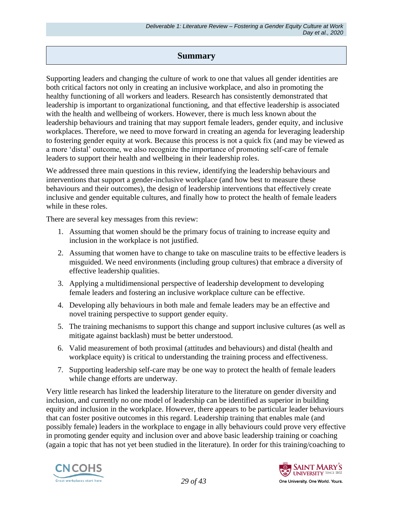### **Summary**

Supporting leaders and changing the culture of work to one that values all gender identities are both critical factors not only in creating an inclusive workplace, and also in promoting the healthy functioning of all workers and leaders. Research has consistently demonstrated that leadership is important to organizational functioning, and that effective leadership is associated with the health and wellbeing of workers. However, there is much less known about the leadership behaviours and training that may support female leaders, gender equity, and inclusive workplaces. Therefore, we need to move forward in creating an agenda for leveraging leadership to fostering gender equity at work. Because this process is not a quick fix (and may be viewed as a more 'distal' outcome, we also recognize the importance of promoting self-care of female leaders to support their health and wellbeing in their leadership roles.

We addressed three main questions in this review, identifying the leadership behaviours and interventions that support a gender-inclusive workplace (and how best to measure these behaviours and their outcomes), the design of leadership interventions that effectively create inclusive and gender equitable cultures, and finally how to protect the health of female leaders while in these roles.

There are several key messages from this review:

- 1. Assuming that women should be the primary focus of training to increase equity and inclusion in the workplace is not justified.
- 2. Assuming that women have to change to take on masculine traits to be effective leaders is misguided. We need environments (including group cultures) that embrace a diversity of effective leadership qualities.
- 3. Applying a multidimensional perspective of leadership development to developing female leaders and fostering an inclusive workplace culture can be effective.
- 4. Developing ally behaviours in both male and female leaders may be an effective and novel training perspective to support gender equity.
- 5. The training mechanisms to support this change and support inclusive cultures (as well as mitigate against backlash) must be better understood.
- 6. Valid measurement of both proximal (attitudes and behaviours) and distal (health and workplace equity) is critical to understanding the training process and effectiveness.
- 7. Supporting leadership self-care may be one way to protect the health of female leaders while change efforts are underway.

Very little research has linked the leadership literature to the literature on gender diversity and inclusion, and currently no one model of leadership can be identified as superior in building equity and inclusion in the workplace. However, there appears to be particular leader behaviours that can foster positive outcomes in this regard. Leadership training that enables male (and possibly female) leaders in the workplace to engage in ally behaviours could prove very effective in promoting gender equity and inclusion over and above basic leadership training or coaching (again a topic that has not yet been studied in the literature). In order for this training/coaching to



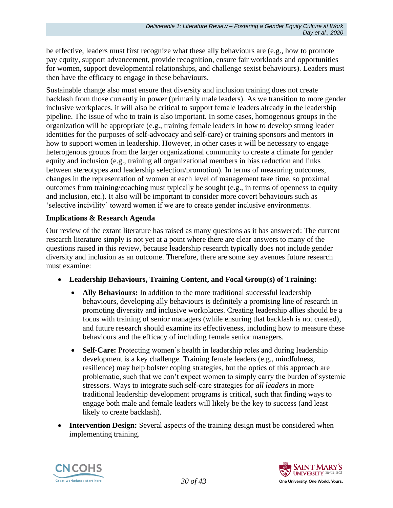be effective, leaders must first recognize what these ally behaviours are (e.g., how to promote pay equity, support advancement, provide recognition, ensure fair workloads and opportunities for women, support developmental relationships, and challenge sexist behaviours). Leaders must then have the efficacy to engage in these behaviours.

Sustainable change also must ensure that diversity and inclusion training does not create backlash from those currently in power (primarily male leaders). As we transition to more gender inclusive workplaces, it will also be critical to support female leaders already in the leadership pipeline. The issue of who to train is also important. In some cases, homogenous groups in the organization will be appropriate (e.g., training female leaders in how to develop strong leader identities for the purposes of self-advocacy and self-care) or training sponsors and mentors in how to support women in leadership. However, in other cases it will be necessary to engage heterogenous groups from the larger organizational community to create a climate for gender equity and inclusion (e.g., training all organizational members in bias reduction and links between stereotypes and leadership selection/promotion). In terms of measuring outcomes, changes in the representation of women at each level of management take time, so proximal outcomes from training/coaching must typically be sought (e.g., in terms of openness to equity and inclusion, etc.). It also will be important to consider more covert behaviours such as 'selective incivility' toward women if we are to create gender inclusive environments.

#### **Implications & Research Agenda**

Our review of the extant literature has raised as many questions as it has answered: The current research literature simply is not yet at a point where there are clear answers to many of the questions raised in this review, because leadership research typically does not include gender diversity and inclusion as an outcome. Therefore, there are some key avenues future research must examine:

- **Leadership Behaviours, Training Content, and Focal Group(s) of Training:**
	- **Ally Behaviours:** In addition to the more traditional successful leadership behaviours, developing ally behaviours is definitely a promising line of research in promoting diversity and inclusive workplaces. Creating leadership allies should be a focus with training of senior managers (while ensuring that backlash is not created), and future research should examine its effectiveness, including how to measure these behaviours and the efficacy of including female senior managers.
	- **Self-Care:** Protecting women's health in leadership roles and during leadership development is a key challenge. Training female leaders (e.g., mindfulness, resilience) may help bolster coping strategies, but the optics of this approach are problematic, such that we can't expect women to simply carry the burden of systemic stressors. Ways to integrate such self-care strategies for *all leaders* in more traditional leadership development programs is critical, such that finding ways to engage both male and female leaders will likely be the key to success (and least likely to create backlash).
- **Intervention Design:** Several aspects of the training design must be considered when implementing training.



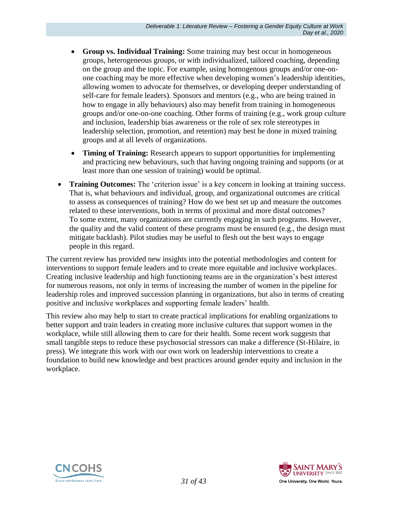- **Group vs. Individual Training:** Some training may best occur in homogeneous groups, heterogeneous groups, or with individualized, tailored coaching, depending on the group and the topic. For example, using homogenous groups and/or one-onone coaching may be more effective when developing women's leadership identities, allowing women to advocate for themselves, or developing deeper understanding of self-care for female leaders). Sponsors and mentors (e.g., who are being trained in how to engage in ally behaviours) also may benefit from training in homogeneous groups and/or one-on-one coaching. Other forms of training (e.g., work group culture and inclusion, leadership bias awareness or the role of sex role stereotypes in leadership selection, promotion, and retention) may best be done in mixed training groups and at all levels of organizations.
- **Timing of Training:** Research appears to support opportunities for implementing and practicing new behaviours, such that having ongoing training and supports (or at least more than one session of training) would be optimal.
- **Training Outcomes:** The 'criterion issue' is a key concern in looking at training success. That is, what behaviours and individual, group, and organizational outcomes are critical to assess as consequences of training? How do we best set up and measure the outcomes related to these interventions, both in terms of proximal and more distal outcomes? To some extent, many organizations are currently engaging in such programs. However, the quality and the valid content of these programs must be ensured (e.g., the design must mitigate backlash). Pilot studies may be useful to flesh out the best ways to engage people in this regard.

The current review has provided new insights into the potential methodologies and content for interventions to support female leaders and to create more equitable and inclusive workplaces. Creating inclusive leadership and high functioning teams are in the organization's best interest for numerous reasons, not only in terms of increasing the number of women in the pipeline for leadership roles and improved succession planning in organizations, but also in terms of creating positive and inclusive workplaces and supporting female leaders' health.

This review also may help to start to create practical implications for enabling organizations to better support and train leaders in creating more inclusive cultures that support women in the workplace, while still allowing them to care for their health. Some recent work suggests that small tangible steps to reduce these psychosocial stressors can make a difference (St-Hilaire, in press). We integrate this work with our own work on leadership interventions to create a foundation to build new knowledge and best practices around gender equity and inclusion in the workplace.



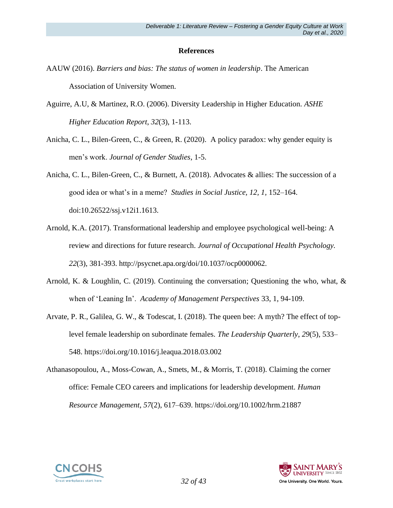#### **References**

- AAUW (2016). *Barriers and bias: The status of women in leadership*. The American Association of University Women.
- Aguirre, A.U, & Martinez, R.O. (2006). Diversity Leadership in Higher Education. *ASHE Higher Education Report*, *32*(3), 1-113.
- Anicha, C. L., Bilen-Green, C., & Green, R. (2020). A policy paradox: why gender equity is men's work. *Journal of Gender Studies*, 1-5.
- Anicha, C. L., Bilen-Green, C., & Burnett, A. (2018). Advocates & allies: The succession of a good idea or what's in a meme? *Studies in Social Justice, 12, 1,* 152–164. doi:10.26522/ssj.v12i1.1613.
- Arnold, K.A. (2017). Transformational leadership and employee psychological well-being: A review and directions for future research. *Journal of Occupational Health Psychology. 22*(3), 381-393. http://psycnet.apa.org/doi/10.1037/ocp0000062.
- Arnold, K. & Loughlin, C. (2019). Continuing the conversation; Questioning the who, what, & when of 'Leaning In'. *Academy of Management Perspectives* 33, 1, 94-109.
- Arvate, P. R., Galilea, G. W., & Todescat, I. (2018). The queen bee: A myth? The effect of toplevel female leadership on subordinate females. *The Leadership Quarterly*, *29*(5), 533– 548. https://doi.org/10.1016/j.leaqua.2018.03.002
- Athanasopoulou, A., Moss-Cowan, A., Smets, M., & Morris, T. (2018). Claiming the corner office: Female CEO careers and implications for leadership development. *Human Resource Management*, *57*(2), 617–639. https://doi.org/10.1002/hrm.21887



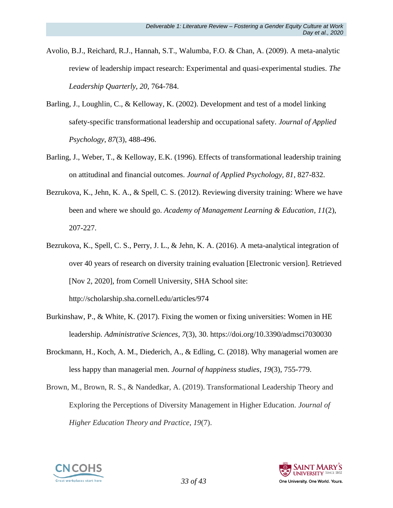- Avolio, B.J., Reichard, R.J., Hannah, S.T., Walumba, F.O. & Chan, A. (2009). A meta-analytic review of leadership impact research: Experimental and quasi-experimental studies. *The Leadership Quarterly, 20,* 764-784.
- Barling, J., Loughlin, C., & Kelloway, K. (2002). Development and test of a model linking safety-specific transformational leadership and occupational safety. *Journal of Applied Psychology*, *87*(3), 488-496.
- Barling, J., Weber, T., & Kelloway, E.K. (1996). Effects of transformational leadership training on attitudinal and financial outcomes. *Journal of Applied Psychology, 81*, 827-832.
- Bezrukova, K., Jehn, K. A., & Spell, C. S. (2012). Reviewing diversity training: Where we have been and where we should go. *Academy of Management Learning & Education*, *11*(2), 207-227.
- Bezrukova, K., Spell, C. S., Perry, J. L., & Jehn, K. A. (2016). A meta-analytical integration of over 40 years of research on diversity training evaluation [Electronic version]. Retrieved [Nov 2, 2020], from Cornell University, SHA School site: http://scholarship.sha.cornell.edu/articles/974
- Burkinshaw, P., & White, K. (2017). Fixing the women or fixing universities: Women in HE leadership. *Administrative Sciences*, *7*(3), 30. https://doi.org/10.3390/admsci7030030
- Brockmann, H., Koch, A. M., Diederich, A., & Edling, C. (2018). Why managerial women are less happy than managerial men. *Journal of happiness studies*, *19*(3), 755-779.
- Brown, M., Brown, R. S., & Nandedkar, A. (2019). Transformational Leadership Theory and Exploring the Perceptions of Diversity Management in Higher Education. *Journal of Higher Education Theory and Practice*, *19*(7).



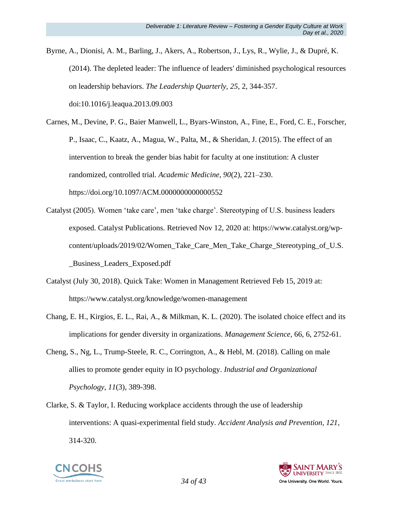Byrne, A., Dionisi, A. M., Barling, J., Akers, A., Robertson, J., Lys, R., Wylie, J., & Dupré, K. (2014). The depleted leader: The influence of leaders' diminished psychological resources on leadership behaviors. *The Leadership Quarterly, 25*, 2, 344-357. doi:10.1016/j.leaqua.2013.09.003

Carnes, M., Devine, P. G., Baier Manwell, L., Byars-Winston, A., Fine, E., Ford, C. E., Forscher, P., Isaac, C., Kaatz, A., Magua, W., Palta, M., & Sheridan, J. (2015). The effect of an intervention to break the gender bias habit for faculty at one institution: A cluster randomized, controlled trial. *Academic Medicine*, *90*(2), 221–230. <https://doi.org/10.1097/ACM.0000000000000552>

- Catalyst (2005). Women 'take care', men 'take charge'. Stereotyping of U.S. business leaders exposed. Catalyst Publications. Retrieved Nov 12, 2020 at: https://www.catalyst.org/wpcontent/uploads/2019/02/Women\_Take\_Care\_Men\_Take\_Charge\_Stereotyping\_of\_U.S. \_Business\_Leaders\_Exposed.pdf
- Catalyst (July 30, 2018). Quick Take: Women in Management Retrieved Feb 15, 2019 at: https://www.catalyst.org/knowledge/women-management
- Chang, E. H., Kirgios, E. L., Rai, A., & Milkman, K. L. (2020). The isolated choice effect and its implications for gender diversity in organizations. *Management Science*, 66, 6, 2752-61.
- Cheng, S., Ng, L., Trump-Steele, R. C., Corrington, A., & Hebl, M. (2018). Calling on male allies to promote gender equity in IO psychology. *Industrial and Organizational Psychology*, *11*(3), 389-398.
- Clarke, S. & Taylor, I. Reducing workplace accidents through the use of leadership interventions: A quasi-experimental field study. *Accident Analysis and Prevention, 121*, 314-320.



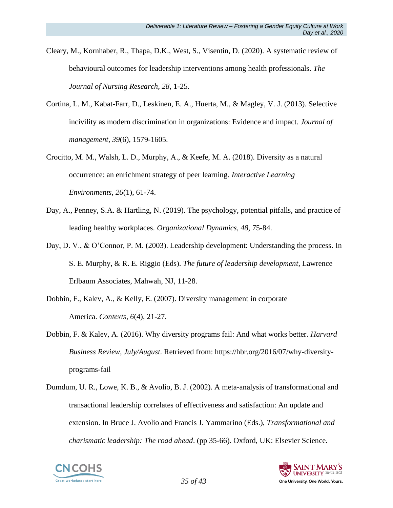- Cleary, M., Kornhaber, R., Thapa, D.K., West, S., Visentin, D. (2020). A systematic review of behavioural outcomes for leadership interventions among health professionals. *The Journal of Nursing Research, 28*, 1-25.
- Cortina, L. M., Kabat-Farr, D., Leskinen, E. A., Huerta, M., & Magley, V. J. (2013). Selective incivility as modern discrimination in organizations: Evidence and impact. *Journal of management*, *39*(6), 1579-1605.
- Crocitto, M. M., Walsh, L. D., Murphy, A., & Keefe, M. A. (2018). Diversity as a natural occurrence: an enrichment strategy of peer learning. *Interactive Learning Environments*, *26*(1), 61-74.
- Day, A., Penney, S.A. & Hartling, N. (2019). The psychology, potential pitfalls, and practice of leading healthy workplaces. *Organizational Dynamics, 48,* 75-84.
- Day, D. V., & O'Connor, P. M. (2003). Leadership development: Understanding the process. In S. E. Murphy, & R. E. Riggio (Eds). *The future of leadership development*, Lawrence Erlbaum Associates, Mahwah, NJ, 11-28.
- Dobbin, F., Kalev, A., & Kelly, E. (2007). Diversity management in corporate America. *Contexts*, *6*(4), 21-27.
- Dobbin, F. & Kalev, A. (2016). Why diversity programs fail: And what works better. *Harvard Business Review, July/August*. Retrieved from: [https://hbr.org/2016/07/why-diversity](https://hbr.org/2016/07/why-diversity-programs-fail)[programs-fail](https://hbr.org/2016/07/why-diversity-programs-fail)
- Dumdum, U. R., Lowe, K. B., & Avolio, B. J. (2002). A meta-analysis of transformational and transactional leadership correlates of effectiveness and satisfaction: An update and extension. In Bruce J. Avolio and Francis J. Yammarino (Eds.), *Transformational and charismatic leadership: The road ahead*. (pp 35-66). Oxford, UK: Elsevier Science.



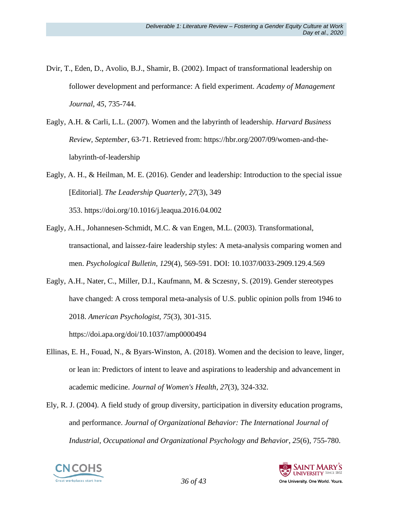- Dvir, T., Eden, D., Avolio, B.J., Shamir, B. (2002). Impact of transformational leadership on follower development and performance: A field experiment. *Academy of Management Journal, 45*, 735-744.
- Eagly, A.H. & Carli, L.L. (2007). Women and the labyrinth of leadership. *Harvard Business Review, September*, 63-71. Retrieved from: https://hbr.org/2007/09/women-and-thelabyrinth-of-leadership
- Eagly, A. H., & Heilman, M. E. (2016). Gender and leadership: Introduction to the special issue [Editorial]. *The Leadership Quarterly, 27*(3), 349 353. https://doi.org/10.1016/j.leaqua.2016.04.002
- Eagly, A.H., Johannesen-Schmidt, M.C. & van Engen, M.L. (2003). Transformational, transactional, and laissez-faire leadership styles: A meta-analysis comparing women and men. *Psychological Bulletin, 129*(4), 569-591. DOI: 10.1037/0033-2909.129.4.569
- Eagly, A.H., Nater, C., Miller, D.I., Kaufmann, M. & Sczesny, S. (2019). Gender stereotypes have changed: A cross temporal meta-analysis of U.S. public opinion polls from 1946 to 2018. *American Psychologist, 75*(3), 301-315. https://doi.apa.org/doi/10.1037/amp0000494
- Ellinas, E. H., Fouad, N., & Byars-Winston, A. (2018). Women and the decision to leave, linger, or lean in: Predictors of intent to leave and aspirations to leadership and advancement in academic medicine. *Journal of Women's Health*, *27*(3), 324-332.
- Ely, R. J. (2004). A field study of group diversity, participation in diversity education programs, and performance. *Journal of Organizational Behavior: The International Journal of Industrial, Occupational and Organizational Psychology and Behavior*, *25*(6), 755-780.



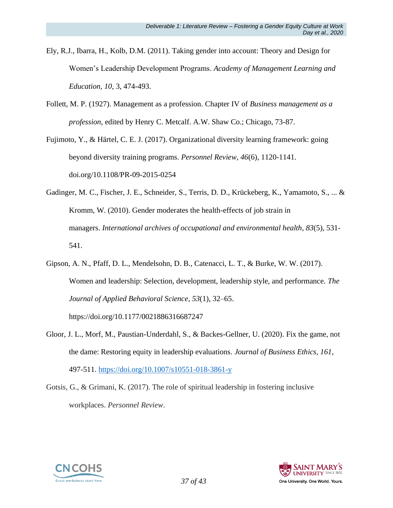- Ely, R.J., Ibarra, H., Kolb, D.M. (2011). Taking gender into account: Theory and Design for Women's Leadership Development Programs. *Academy of Management Learning and Education, 10*, 3, 474-493.
- Follett, M. P. (1927). Management as a profession. Chapter IV of *Business management as a profession*, edited by Henry C. Metcalf. A.W. Shaw Co.; Chicago, 73-87.

Fujimoto, Y., & Härtel, C. E. J. (2017). Organizational diversity learning framework: going beyond diversity training programs. *Personnel Review, 46*(6), 1120-1141. doi.org/10.1108/PR-09-2015-0254

- Gadinger, M. C., Fischer, J. E., Schneider, S., Terris, D. D., Krückeberg, K., Yamamoto, S., ... & Kromm, W. (2010). Gender moderates the health-effects of job strain in managers. *International archives of occupational and environmental health*, *83*(5), 531- 541.
- Gipson, A. N., Pfaff, D. L., Mendelsohn, D. B., Catenacci, L. T., & Burke, W. W. (2017). Women and leadership: Selection, development, leadership style, and performance. *The Journal of Applied Behavioral Science*, *53*(1), 32–65.

https://doi.org/10.1177/0021886316687247

- Gloor, J. L., Morf, M., Paustian-Underdahl, S., & Backes-Gellner, U. (2020). Fix the game, not the dame: Restoring equity in leadership evaluations*. Journal of Business Ethics, 161,*  497-511.<https://doi.org/10.1007/s10551-018-3861-y>
- Gotsis, G., & Grimani, K. (2017). The role of spiritual leadership in fostering inclusive workplaces. *Personnel Review*.



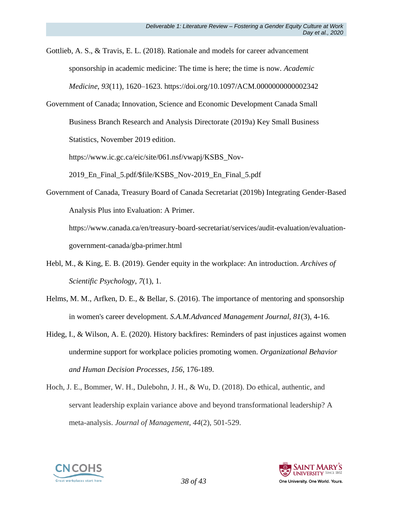Gottlieb, A. S., & Travis, E. L. (2018). Rationale and models for career advancement sponsorship in academic medicine: The time is here; the time is now. *Academic Medicine*, *93*(11), 1620–1623. https://doi.org/10.1097/ACM.0000000000002342

Government of Canada; Innovation, Science and Economic Development Canada Small Business Branch Research and Analysis Directorate (2019a) Key Small Business Statistics, November 2019 edition.

https://www.ic.gc.ca/eic/site/061.nsf/vwapj/KSBS\_Nov-

2019\_En\_Final\_5.pdf/\$file/KSBS\_Nov-2019\_En\_Final\_5.pdf

Government of Canada, Treasury Board of Canada Secretariat (2019b) Integrating Gender-Based Analysis Plus into Evaluation: A Primer.

https://www.canada.ca/en/treasury-board-secretariat/services/audit-evaluation/evaluationgovernment-canada/gba-primer.html

- Hebl, M., & King, E. B. (2019). Gender equity in the workplace: An introduction. *Archives of Scientific Psychology*, *7*(1), 1.
- Helms, M. M., Arfken, D. E., & Bellar, S. (2016). The importance of mentoring and sponsorship in women's career development. *S.A.M.Advanced Management Journal, 81*(3), 4-16.
- Hideg, I., & Wilson, A. E. (2020). History backfires: Reminders of past injustices against women undermine support for workplace policies promoting women. *Organizational Behavior and Human Decision Processes*, *156*, 176-189.
- Hoch, J. E., Bommer, W. H., Dulebohn, J. H., & Wu, D. (2018). Do ethical, authentic, and servant leadership explain variance above and beyond transformational leadership? A meta-analysis. *Journal of Management*, *44*(2), 501-529.



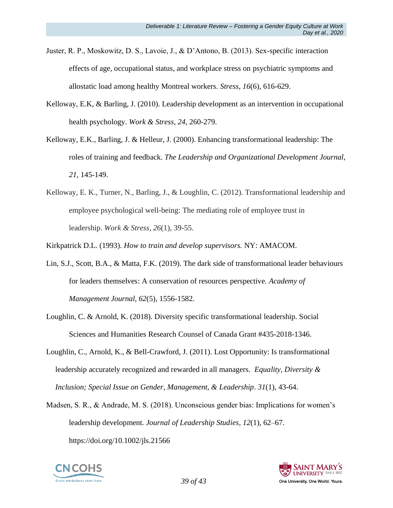- Juster, R. P., Moskowitz, D. S., Lavoie, J., & D'Antono, B. (2013). Sex-specific interaction effects of age, occupational status, and workplace stress on psychiatric symptoms and allostatic load among healthy Montreal workers. *Stress*, *16*(6), 616-629.
- Kelloway, E.K, & Barling, J. (2010). Leadership development as an intervention in occupational health psychology. *Work & Stress, 24*, 260-279.
- Kelloway, E.K., Barling, J. & Helleur, J. (2000). Enhancing transformational leadership: The roles of training and feedback. *The Leadership and Organizational Development Journal, 21*, 145-149.
- Kelloway, E. K., Turner, N., Barling, J., & Loughlin, C. (2012). Transformational leadership and employee psychological well-being: The mediating role of employee trust in leadership. *Work & Stress*, *26*(1), 39-55.

Kirkpatrick D.L. (1993). *How to train and develop supervisors.* NY: AMACOM.

- Lin, S.J., Scott, B.A., & Matta, F.K. (2019). The dark side of transformational leader behaviours for leaders themselves: A conservation of resources perspective. *Academy of Management Journal, 62*(5), 1556-1582.
- Loughlin, C. & Arnold, K. (2018). Diversity specific transformational leadership. Social Sciences and Humanities Research Counsel of Canada Grant #435-2018-1346.
- Loughlin, C., Arnold, K., & Bell-Crawford, J. (2011). Lost Opportunity: Is transformational leadership accurately recognized and rewarded in all managers. *Equality, Diversity & Inclusion; Special Issue on Gender, Management, & Leadership*. *31*(1), 43-64.
- Madsen, S. R., & Andrade, M. S. (2018). Unconscious gender bias: Implications for women's leadership development. *Journal of Leadership Studies*, *12*(1), 62–67. https://doi.org/10.1002/jls.21566



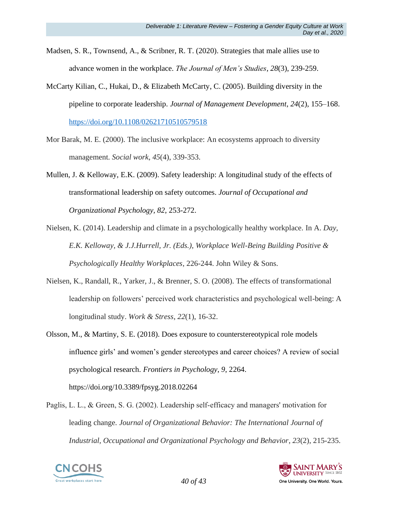- Madsen, S. R., Townsend, A., & Scribner, R. T. (2020). Strategies that male allies use to advance women in the workplace. *The Journal of Men's Studies*, *28*(3), 239-259.
- McCarty Kilian, C., Hukai, D., & Elizabeth McCarty, C. (2005). Building diversity in the pipeline to corporate leadership. *Journal of Management Development*, *24*(2), 155–168. <https://doi.org/10.1108/02621710510579518>
- Mor Barak, M. E. (2000). The inclusive workplace: An ecosystems approach to diversity management. *Social work*, *45*(4), 339-353.
- Mullen, J. & Kelloway, E.K. (2009). Safety leadership: A longitudinal study of the effects of transformational leadership on safety outcomes. *Journal of Occupational and Organizational Psychology, 82*, 253-272.
- Nielsen, K. (2014). Leadership and climate in a psychologically healthy workplace. In A. *Day, E.K. Kelloway, & J.J.Hurrell, Jr. (Eds.), Workplace Well-Being Building Positive & Psychologically Healthy Workplaces*, 226-244. John Wiley & Sons.
- Nielsen, K., Randall, R., Yarker, J., & Brenner, S. O. (2008). The effects of transformational leadership on followers' perceived work characteristics and psychological well-being: A longitudinal study. *Work & Stress*, *22*(1), 16-32.
- Olsson, M., & Martiny, S. E. (2018). Does exposure to counterstereotypical role models influence girls' and women's gender stereotypes and career choices? A review of social psychological research. *Frontiers in Psychology*, *9*, 2264. <https://doi.org/10.3389/fpsyg.2018.02264>
- Paglis, L. L., & Green, S. G. (2002). Leadership self-efficacy and managers' motivation for leading change. *Journal of Organizational Behavior: The International Journal of Industrial, Occupational and Organizational Psychology and Behavior*, *23*(2), 215-235.



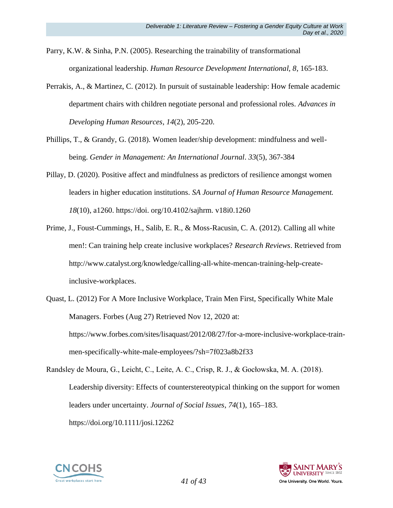Parry, K.W. & Sinha, P.N. (2005). Researching the trainability of transformational organizational leadership. *Human Resource Development International, 8*, 165-183.

- Perrakis, A., & Martinez, C. (2012). In pursuit of sustainable leadership: How female academic department chairs with children negotiate personal and professional roles. *Advances in Developing Human Resources*, *14*(2), 205-220.
- Phillips, T., & Grandy, G. (2018). Women leader/ship development: mindfulness and wellbeing. *Gender in Management: An International Journal*. *33*(5), 367-384
- Pillay, D. (2020). Positive affect and mindfulness as predictors of resilience amongst women leaders in higher education institutions. *SA Journal of Human Resource Management. 18*(10), a1260. https://doi. org/10.4102/sajhrm. v18i0.1260
- Prime, J., Foust-Cummings, H., Salib, E. R., & Moss-Racusin, C. A. (2012). Calling all white men!: Can training help create inclusive workplaces? *Research Reviews*. Retrieved from http://www.catalyst.org/knowledge/calling-all-white-mencan-training-help-createinclusive-workplaces.
- Quast, L. (2012) For A More Inclusive Workplace, Train Men First, Specifically White Male Managers. Forbes (Aug 27) Retrieved Nov 12, 2020 at: https://www.forbes.com/sites/lisaquast/2012/08/27/for-a-more-inclusive-workplace-trainmen-specifically-white-male-employees/?sh=7f023a8b2f33
- Randsley de Moura, G., Leicht, C., Leite, A. C., Crisp, R. J., & Gocłowska, M. A. (2018). Leadership diversity: Effects of counterstereotypical thinking on the support for women leaders under uncertainty. *Journal of Social Issues*, *74*(1), 165–183. https://doi.org/10.1111/josi.12262



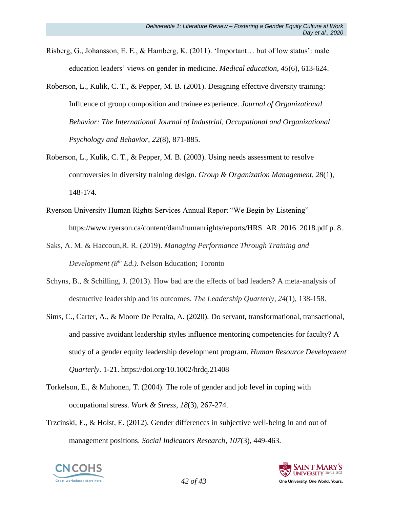- Risberg, G., Johansson, E. E., & Hamberg, K. (2011). 'Important… but of low status': male education leaders' views on gender in medicine. *Medical education*, *45*(6), 613-624.
- Roberson, L., Kulik, C. T., & Pepper, M. B. (2001). Designing effective diversity training: Influence of group composition and trainee experience. *Journal of Organizational Behavior: The International Journal of Industrial, Occupational and Organizational Psychology and Behavior*, *22*(8), 871-885.
- Roberson, L., Kulik, C. T., & Pepper, M. B. (2003). Using needs assessment to resolve controversies in diversity training design. *Group & Organization Management*, *28*(1), 148-174.
- Ryerson University Human Rights Services Annual Report "We Begin by Listening" https://www.ryerson.ca/content/dam/humanrights/reports/HRS\_AR\_2016\_2018.pdf p. 8.
- Saks, A. M. & Haccoun,R. R. (2019). *Managing Performance Through Training and Development (8th Ed.)*. Nelson Education; Toronto
- Schyns, B., & Schilling, J. (2013). How bad are the effects of bad leaders? A meta-analysis of destructive leadership and its outcomes. *The Leadership Quarterly*, *24*(1), 138-158.
- Sims, C., Carter, A., & Moore De Peralta, A. (2020). Do servant, transformational, transactional, and passive avoidant leadership styles influence mentoring competencies for faculty? A study of a gender equity leadership development program. *Human Resource Development Quarterly*. 1-21. https://doi.org/10.1002/hrdq.21408
- Torkelson, E., & Muhonen, T. (2004). The role of gender and job level in coping with occupational stress. *Work & Stress*, *18*(3), 267-274.
- Trzcinski, E., & Holst, E. (2012). Gender differences in subjective well-being in and out of management positions. *Social Indicators Research*, *107*(3), 449-463.